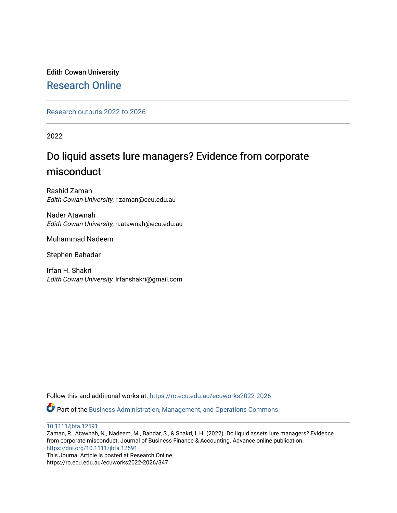# Edith Cowan University [Research Online](https://ro.ecu.edu.au/)

[Research outputs 2022 to 2026](https://ro.ecu.edu.au/ecuworks2022-2026) 

2022

# Do liquid assets lure managers? Evidence from corporate misconduct

Rashid Zaman Edith Cowan University, r.zaman@ecu.edu.au

Nader Atawnah Edith Cowan University, n.atawnah@ecu.edu.au

Muhammad Nadeem

Stephen Bahadar

Irfan H. Shakri Edith Cowan University, Irfanshakri@gmail.com

Follow this and additional works at: [https://ro.ecu.edu.au/ecuworks2022-2026](https://ro.ecu.edu.au/ecuworks2022-2026?utm_source=ro.ecu.edu.au%2Fecuworks2022-2026%2F347&utm_medium=PDF&utm_campaign=PDFCoverPages)

Part of the [Business Administration, Management, and Operations Commons](http://network.bepress.com/hgg/discipline/623?utm_source=ro.ecu.edu.au%2Fecuworks2022-2026%2F347&utm_medium=PDF&utm_campaign=PDFCoverPages)

[10.1111/jbfa.12591](http://dx.doi.org/10.1111/jbfa.12591)

Zaman, R., Atawnah, N., Nadeem, M., Bahdar, S., & Shakri, I. H. (2022). Do liquid assets lure managers? Evidence from corporate misconduct. Journal of Business Finance & Accounting. Advance online publication. <https://doi.org/10.1111/jbfa.12591> This Journal Article is posted at Research Online.

https://ro.ecu.edu.au/ecuworks2022-2026/347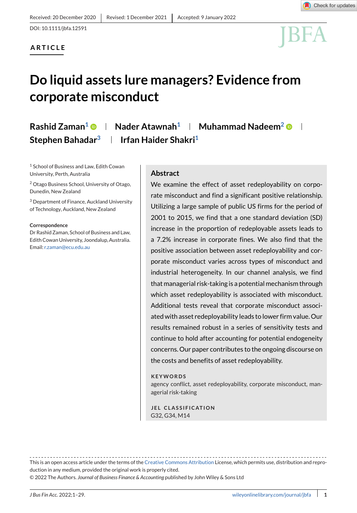# **ARTICLE**



# **Do liquid assets lure managers? Evidence from corporate misconduct**

# **Rashid Zaman<sup>1</sup> <b>D** | Nader Atawnah<sup>1</sup> | Muhammad Nadeem<sup>2</sup> **D** | **Stephen Bahadar3 Irfan Haider Shakri1**

<sup>1</sup> School of Business and Law, Edith Cowan University, Perth, Australia

<sup>2</sup> Otago Business School, University of Otago, Dunedin, New Zealand

<sup>3</sup> Department of Finance, Auckland University of Technology, Auckland, New Zealand

#### **Correspondence**

Dr Rashid Zaman, School of Business and Law, Edith Cowan University, Joondalup, Australia. Email: [r.zaman@ecu.edu.au](mailto:r.zaman@ecu.edu.au)

### **Abstract**

We examine the effect of asset redeployability on corporate misconduct and find a significant positive relationship. Utilizing a large sample of public US firms for the period of 2001 to 2015, we find that a one standard deviation (SD) increase in the proportion of redeployable assets leads to a 7.2% increase in corporate fines. We also find that the positive association between asset redeployability and corporate misconduct varies across types of misconduct and industrial heterogeneity. In our channel analysis, we find that managerial risk-taking is a potential mechanism through which asset redeployability is associated with misconduct. Additional tests reveal that corporate misconduct associated with asset redeployability leads to lower firm value. Our results remained robust in a series of sensitivity tests and continue to hold after accounting for potential endogeneity concerns. Our paper contributes to the ongoing discourse on the costs and benefits of asset redeployability.

#### **KEYWORDS**

agency conflict, asset redeployability, corporate misconduct, managerial risk-taking

**JEL CLASSIFICATION** G32, G34, M14

This is an open access article under the terms of the [Creative Commons Attribution](http://creativecommons.org/licenses/by/4.0/) License, which permits use, distribution and reproduction in any medium, provided the original work is properly cited.

© 2022 The Authors. *Journal of Business Finance & Accounting* published by John Wiley & Sons Ltd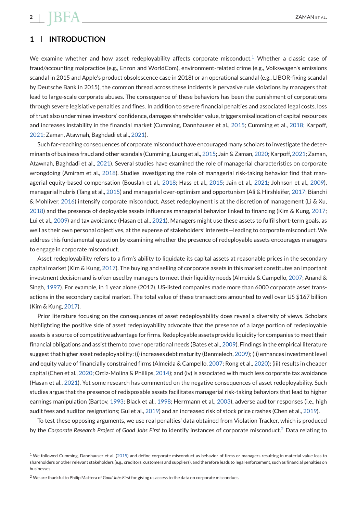# **1 INTRODUCTION**

We examine whether and how asset redeployability affects corporate misconduct.<sup>1</sup> Whether a classic case of fraud/accounting malpractice (e.g., Enron and WorldCom), environment-related crime (e.g., Volkswagen's emissions scandal in 2015 and Apple's product obsolescence case in 2018) or an operational scandal (e.g., LIBOR-fixing scandal by Deutsche Bank in 2015), the common thread across these incidents is pervasive rule violations by managers that lead to large-scale corporate abuses. The consequence of these behaviors has been the punishment of corporations through severe legislative penalties and fines. In addition to severe financial penalties and associated legal costs, loss of trust also undermines investors' confidence, damages shareholder value, triggers misallocation of capital resources and increases instability in the financial market (Cumming, Dannhauser et al., [2015;](#page-24-0) Cumming et al., [2018;](#page-24-0) Karpoff, [2021;](#page-25-0) Zaman, Atawnah, Baghdadi et al., [2021\)](#page-26-0).

Such far-reaching consequences of corporate misconduct have encouraged many scholars to investigate the determinants of business fraud and other scandals (Cumming, Leung et al., [2015;](#page-24-0) Jain & Zaman, [2020;](#page-25-0) Karpoff, [2021;](#page-25-0) Zaman, Atawnah, Baghdadi et al., [2021\)](#page-26-0). Several studies have examined the role of managerial characteristics on corporate wrongdoing (Amiram et al., [2018\)](#page-23-0). Studies investigating the role of managerial risk-taking behavior find that managerial equity-based compensation (Bouslah et al., [2018;](#page-24-0) Hass et al., [2015;](#page-25-0) Jain et al., [2021;](#page-25-0) Johnson et al., [2009\)](#page-25-0), managerial hubris (Tang et al., [2015\)](#page-26-0) and managerial over-optimism and opportunism (Ali & Hirshleifer, [2017;](#page-23-0) Bianchi & Mohliver, [2016\)](#page-24-0) intensify corporate misconduct. Asset redeployment is at the discretion of management (Li & Xu, [2018\)](#page-25-0) and the presence of deployable assets influences managerial behavior linked to financing (Kim & Kung, [2017;](#page-25-0) Lui et al., [2009\)](#page-25-0) and tax avoidance (Hasan et al., [2021\)](#page-25-0). Managers might use these assets to fulfil short-term goals, as well as their own personal objectives, at the expense of stakeholders' interests—leading to corporate misconduct. We address this fundamental question by examining whether the presence of redeployable assets encourages managers to engage in corporate misconduct.

Asset redeployability refers to a firm's ability to liquidate its capital assets at reasonable prices in the secondary capital market (Kim & Kung, [2017\)](#page-25-0). The buying and selling of corporate assets in this market constitutes an important investment decision and is often used by managers to meet their liquidity needs (Almeida & Campello, [2007;](#page-23-0) Anand & Singh, [1997\)](#page-23-0). For example, in 1 year alone (2012), US-listed companies made more than 6000 corporate asset transactions in the secondary capital market. The total value of these transactions amounted to well over US \$167 billion (Kim & Kung, [2017\)](#page-25-0).

Prior literature focusing on the consequences of asset redeployability does reveal a diversity of views. Scholars highlighting the positive side of asset redeployability advocate that the presence of a large portion of redeployable assets is a source of competitive advantage for firms. Redeployable assets provide liquidity for companies to meet their financial obligations and assist them to cover operational needs (Bates et al., [2009\)](#page-24-0). Findings in the empirical literature suggest that higher asset redeployability: (i) increases debt maturity (Benmelech, [2009\)](#page-24-0); (ii) enhances investment level and equity value of financially constrained firms (Almeida & Campello, [2007;](#page-23-0) Rong et al., [2020\)](#page-26-0); (iii) results in cheaper capital (Chen et al., [2020;](#page-24-0) Ortiz-Molina & Phillips, [2014\)](#page-26-0); and (iv) is associated with much less corporate tax avoidance (Hasan et al., [2021\)](#page-25-0). Yet some research has commented on the negative consequences of asset redeployability. Such studies argue that the presence of redisposable assets facilitates managerial risk-taking behaviors that lead to higher earnings manipulation (Bartov, [1993;](#page-24-0) Black et al., [1998;](#page-24-0) Herrmann et al., [2003\)](#page-25-0), adverse auditor responses (i.e., high audit fees and auditor resignations; Gul et al., [2019\)](#page-25-0) and an increased risk of stock price crashes (Chen et al., [2019\)](#page-24-0).

To test these opposing arguments, we use real penalties' data obtained from Violation Tracker, which is produced by the *Corporate Research Project of Good Jobs First* to identify instances of corporate misconduct.<sup>2</sup> Data relating to

 $1$  We followed Cumming, Dannhauser et al. [\(2015\)](#page-24-0) and define corporate misconduct as behavior of firms or managers resulting in material value loss to shareholders or other relevant stakeholders (e.g., creditors, customers and suppliers), and therefore leads to legal enforcement, such as financial penalties on businesses.

<sup>2</sup> We are thankful to Philip Mattera of *Good Jobs First* for giving us access to the data on corporate misconduct.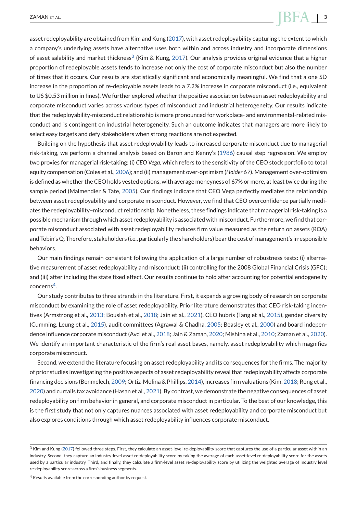asset redeployability are obtained from Kim and Kung [\(2017\)](#page-25-0), with asset redeployability capturing the extent to which a company's underlying assets have alternative uses both within and across industry and incorporate dimensions of asset salability and market thickness<sup>3</sup> (Kim & Kung, [2017\)](#page-25-0). Our analysis provides original evidence that a higher proportion of redeployable assets tends to increase not only the cost of corporate misconduct but also the number of times that it occurs. Our results are statistically significant and economically meaningful. We find that a one SD increase in the proportion of re-deployable assets leads to a 7.2% increase in corporate misconduct (i.e., equivalent to US \$0.53 million in fines). We further explored whether the positive association between asset redeployability and corporate misconduct varies across various types of misconduct and industrial heterogeneity. Our results indicate that the redeployability-misconduct relationship is more pronounced for workplace- and environmental-related misconduct and is contingent on industrial heterogeneity. Such an outcome indicates that managers are more likely to select easy targets and defy stakeholders when strong reactions are not expected.

Building on the hypothesis that asset redeployability leads to increased corporate misconduct due to managerial risk-taking, we perform a channel analysis based on Baron and Kenny's [\(1986\)](#page-24-0) causal step regression. We employ two proxies for managerial risk-taking: (i) *CEO Vega*, which refers to the sensitivity of the CEO stock portfolio to total equity compensation (Coles et al., [2006\)](#page-24-0); and (ii) management over-optimism (*Holder 67*). Management over-optimism is defined as whether the CEO holds vested options, with average moneyness of 67% or more, at least twice during the sample period (Malmendier & Tate, [2005\)](#page-25-0). Our findings indicate that CEO Vega perfectly mediates the relationship between asset redeployability and corporate misconduct. However, we find that CEO overconfidence partially mediates the redeployability–misconduct relationship. Nonetheless, these findings indicate that managerial risk-taking is a possible mechanism through which asset redeployability is associated with misconduct. Furthermore, we find that corporate misconduct associated with asset redeployability reduces firm value measured as the return on assets (ROA) and Tobin's Q. Therefore, stakeholders (i.e., particularly the shareholders) bear the cost of management's irresponsible behaviors.

Our main findings remain consistent following the application of a large number of robustness tests: (i) alternative measurement of asset redeployability and misconduct; (ii) controlling for the 2008 Global Financial Crisis (GFC); and (iii) after including the state fixed effect. Our results continue to hold after accounting for potential endogeneity concerns4.

Our study contributes to three strands in the literature. First, it expands a growing body of research on corporate misconduct by examining the role of asset redeployability. Prior literature demonstrates that CEO risk-taking incentives (Armstrong et al., [2013;](#page-23-0) Bouslah et al., [2018;](#page-24-0) Jain et al., [2021\)](#page-25-0), CEO hubris (Tang et al., [2015\)](#page-26-0), gender diversity (Cumming, Leung et al., [2015\)](#page-24-0), audit committees (Agrawal & Chadha, [2005;](#page-23-0) Beasley et al., [2000\)](#page-24-0) and board independence influence corporate misconduct (Avci et al., [2018;](#page-24-0) Jain & Zaman, [2020;](#page-25-0) Mishina et al., [2010;](#page-25-0) Zaman et al., [2020\)](#page-26-0). We identify an important characteristic of the firm's real asset bases, namely, asset redeployability which magnifies corporate misconduct.

Second, we extend the literature focusing on asset redeployability and its consequences for the firms. The majority of prior studies investigating the positive aspects of asset redeployability reveal that redeployability affects corporate financing decisions (Benmelech, [2009;](#page-24-0) Ortiz-Molina & Phillips, [2014\)](#page-26-0), increases firm valuations (Kim, [2018;](#page-25-0) Rong et al., [2020\)](#page-26-0) and curtails tax avoidance (Hasan et al., [2021\)](#page-25-0). By contrast, we demonstrate the negative consequences of asset redeployability on firm behavior in general, and corporate misconduct in particular. To the best of our knowledge, this is the first study that not only captures nuances associated with asset redeployability and corporate misconduct but also explores conditions through which asset redeployability influences corporate misconduct.

 $3$  Kim and Kung [\(2017\)](#page-25-0) followed three steps. First, they calculate an asset-level re-deployability score that captures the use of a particular asset within an industry. Second, they capture an industry-level asset re-deployability score by taking the average of each asset-level re-deployability score for the assets used by a particular industry. Third, and finally, they calculate a firm-level asset re-deployability score by utilizing the weighted average of industry level re-deployability score across a firm's business segments.

<sup>4</sup> Results available from the corresponding author by request.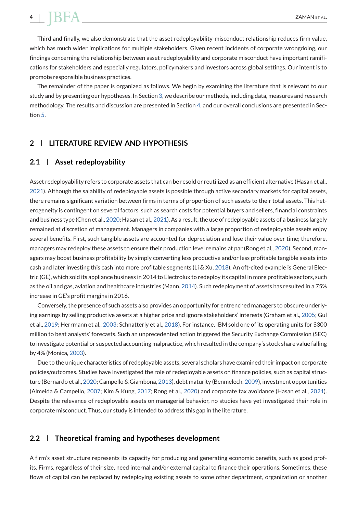# **4** BFA ZAMAN ET AL.

Third and finally, we also demonstrate that the asset redeployability-misconduct relationship reduces firm value, which has much wider implications for multiple stakeholders. Given recent incidents of corporate wrongdoing, our findings concerning the relationship between asset redeployability and corporate misconduct have important ramifications for stakeholders and especially regulators, policymakers and investors across global settings. Our intent is to promote responsible business practices.

The remainder of the paper is organized as follows. We begin by examining the literature that is relevant to our study and by presenting our hypotheses. In Section [3,](#page-7-0) we describe our methods, including data, measures and research methodology. The results and discussion are presented in Section [4,](#page-10-0) and our overall conclusions are presented in Section [5.](#page-20-0)

# **2 LITERATURE REVIEW AND HYPOTHESIS**

### **2.1 Asset redeployability**

Asset redeployability refers to corporate assets that can be resold or reutilized as an efficient alternative (Hasan et al., [2021\)](#page-25-0). Although the salability of redeployable assets is possible through active secondary markets for capital assets, there remains significant variation between firms in terms of proportion of such assets to their total assets. This heterogeneity is contingent on several factors, such as search costs for potential buyers and sellers, financial constraints and business type (Chen et al., [2020;](#page-24-0) Hasan et al., [2021\)](#page-25-0). As a result, the use of redeployable assets of a business largely remained at discretion of management. Managers in companies with a large proportion of redeployable assets enjoy several benefits. First, such tangible assets are accounted for depreciation and lose their value over time; therefore, managers may redeploy these assets to ensure their production level remains at par (Rong et al., [2020\)](#page-26-0). Second, managers may boost business profitability by simply converting less productive and/or less profitable tangible assets into cash and later investing this cash into more profitable segments (Li & Xu, [2018\)](#page-25-0). An oft-cited example is General Electric (GE), which sold its appliance business in 2014 to Electrolux to redeploy its capital in more profitable sectors, such as the oil and gas, aviation and healthcare industries (Mann, [2014\)](#page-25-0). Such redeployment of assets has resulted in a 75% increase in GE's profit margins in 2016.

Conversely, the presence of such assets also provides an opportunity for entrenched managers to obscure underlying earnings by selling productive assets at a higher price and ignore stakeholders' interests (Graham et al., [2005;](#page-24-0) Gul et al., [2019;](#page-25-0) Herrmann et al., [2003;](#page-25-0) Schnatterly et al., [2018\)](#page-26-0). For instance, IBM sold one of its operating units for \$300 million to beat analysts' forecasts. Such an unprecedented action triggered the Security Exchange Commission (SEC) to investigate potential or suspected accounting malpractice, which resulted in the company's stock share value falling by 4% (Monica, [2003\)](#page-26-0).

Due to the unique characteristics of redeployable assets, several scholars have examined their impact on corporate policies/outcomes. Studies have investigated the role of redeployable assets on finance policies, such as capital structure (Bernardo et al., [2020;](#page-24-0) Campello & Giambona, [2013\)](#page-24-0), debt maturity (Benmelech, [2009\)](#page-24-0), investment opportunities (Almeida & Campello, [2007;](#page-23-0) Kim & Kung, [2017;](#page-25-0) Rong et al., [2020\)](#page-26-0) and corporate tax avoidance (Hasan et al., [2021\)](#page-25-0). Despite the relevance of redeployable assets on managerial behavior, no studies have yet investigated their role in corporate misconduct. Thus, our study is intended to address this gap in the literature.

# **2.2 Theoretical framing and hypotheses development**

A firm's asset structure represents its capacity for producing and generating economic benefits, such as good profits. Firms, regardless of their size, need internal and/or external capital to finance their operations. Sometimes, these flows of capital can be replaced by redeploying existing assets to some other department, organization or another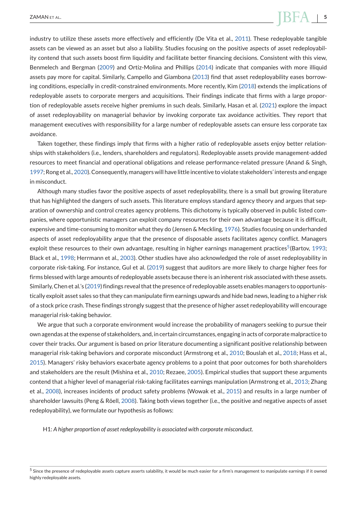industry to utilize these assets more effectively and efficiently (De Vita et al., [2011\)](#page-24-0). These redeployable tangible assets can be viewed as an asset but also a liability. Studies focusing on the positive aspects of asset redeployability contend that such assets boost firm liquidity and facilitate better financing decisions. Consistent with this view, Benmelech and Bergman [\(2009\)](#page-24-0) and Ortiz-Molina and Phillips [\(2014\)](#page-26-0) indicate that companies with more illiquid assets pay more for capital. Similarly, Campello and Giambona [\(2013\)](#page-24-0) find that asset redeployability eases borrowing conditions, especially in credit-constrained environments. More recently, Kim [\(2018\)](#page-25-0) extends the implications of redeployable assets to corporate mergers and acquisitions. Their findings indicate that firms with a large proportion of redeployable assets receive higher premiums in such deals. Similarly, Hasan et al. [\(2021\)](#page-25-0) explore the impact of asset redeployability on managerial behavior by invoking corporate tax avoidance activities. They report that management executives with responsibility for a large number of redeployable assets can ensure less corporate tax avoidance.

Taken together, these findings imply that firms with a higher ratio of redeployable assets enjoy better relationships with stakeholders (i.e., lenders, shareholders and regulators). Redeployable assets provide management-added resources to meet financial and operational obligations and release performance-related pressure (Anand & Singh, [1997;](#page-23-0) Rong et al., [2020\)](#page-26-0). Consequently, managers will have little incentive to violate stakeholders' interests and engage in misconduct.

Although many studies favor the positive aspects of asset redeployability, there is a small but growing literature that has highlighted the dangers of such assets. This literature employs standard agency theory and argues that separation of ownership and control creates agency problems. This dichotomy is typically observed in public listed companies, where opportunistic managers can exploit company resources for their own advantage because it is difficult, expensive and time-consuming to monitor what they do (Jensen & Meckling, [1976\)](#page-25-0). Studies focusing on underhanded aspects of asset redeployability argue that the presence of disposable assets facilitates agency conflict. Managers exploit these resources to their own advantage, resulting in higher earnings management practices<sup>5</sup>(Bartov, [1993;](#page-24-0) Black et al., [1998;](#page-24-0) Herrmann et al., [2003\)](#page-25-0). Other studies have also acknowledged the role of asset redeployability in corporate risk-taking. For instance, Gul et al. [\(2019\)](#page-25-0) suggest that auditors are more likely to charge higher fees for firms blessed with large amounts of redeployable assets because there is an inherent risk associated with these assets. Similarly, Chen et al.'s [\(2019\)](#page-24-0) findings reveal that the presence of redeployable assets enables managers to opportunistically exploit asset sales so that they can manipulate firm earnings upwards and hide bad news, leading to a higher risk of a stock price crash. These findings strongly suggest that the presence of higher asset redeployability will encourage managerial risk-taking behavior.

We argue that such a corporate environment would increase the probability of managers seeking to pursue their own agendas at the expense of stakeholders, and, in certain circumstances, engaging in acts of corporate malpractice to cover their tracks. Our argument is based on prior literature documenting a significant positive relationship between managerial risk-taking behaviors and corporate misconduct (Armstrong et al., [2010;](#page-23-0) Bouslah et al., [2018;](#page-24-0) Hass et al., [2015\)](#page-25-0). Managers' risky behaviors exacerbate agency problems to a point that poor outcomes for both shareholders and stakeholders are the result (Mishina et al., [2010;](#page-25-0) Rezaee, [2005\)](#page-26-0). Empirical studies that support these arguments contend that a higher level of managerial risk-taking facilitates earnings manipulation (Armstrong et al., [2013;](#page-23-0) Zhang et al., [2008\)](#page-26-0), increases incidents of product safety problems (Wowak et al., [2015\)](#page-26-0) and results in a large number of shareholder lawsuits (Peng & Röell, [2008\)](#page-26-0). Taking both views together (i.e., the positive and negative aspects of asset redeployability), we formulate our hypothesis as follows:

H1: *A higher proportion of asset redeployability is associated with corporate misconduct*.

<sup>5</sup> Since the presence of redeployable assets capture asserts salability, it would be much easier for a firm's management to manipulate earnings if it owned highly redeployable assets.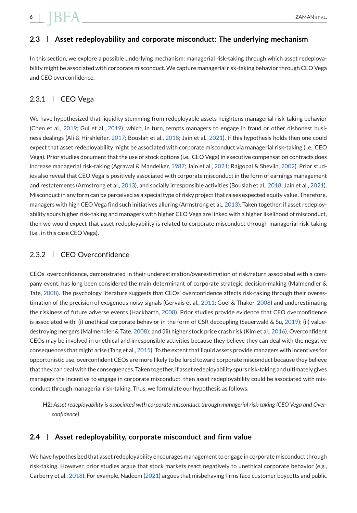# **2.3 Asset redeployability and corporate misconduct: The underlying mechanism**

In this section, we explore a possible underlying mechanism: managerial risk-taking through which asset redeployability might be associated with corporate misconduct. We capture managerial risk-taking behavior through CEO Vega and CEO overconfidence.

# $2.3.1$  | CEO Vega

We have hypothesized that liquidity stemming from redeployable assets heightens managerial risk-taking behavior (Chen et al., [2019;](#page-24-0) Gul et al., [2019\)](#page-25-0), which, in turn, tempts managers to engage in fraud or other dishonest business dealings (Ali & Hirshleifer, [2017;](#page-23-0) Bouslah et al., [2018;](#page-24-0) Jain et al., [2021\)](#page-25-0). If this hypothesis holds then one could expect that asset redeployability might be associated with corporate misconduct via managerial risk-taking (i.e., CEO Vega). Prior studies document that the use of stock options (i.e., CEO Vega) in executive compensation contracts does increase managerial risk-taking (Agrawal & Mandelker, [1987;](#page-23-0) Jain et al., [2021;](#page-25-0) Rajgopal & Shevlin, [2002\)](#page-26-0). Prior studies also reveal that CEO Vega is positively associated with corporate misconduct in the form of earnings management and restatements (Armstrong et al., [2013\)](#page-23-0), and socially irresponsible activities (Bouslah et al., [2018;](#page-24-0) Jain et al., [2021\)](#page-25-0). Misconduct in any form can be perceived as a special type of risky project that raises expected equity value. Therefore, managers with high CEO Vega find such initiatives alluring (Armstrong et al., [2013\)](#page-23-0). Taken together, if asset redeployability spurs higher risk-taking and managers with higher CEO Vega are linked with a higher likelihood of misconduct, then we would expect that asset redeployability is related to corporate misconduct through managerial risk-taking (i.e., in this case CEO Vega).

# 2.3.2 | CEO Overconfidence

CEOs' overconfidence, demonstrated in their underestimation/overestimation of risk/return associated with a company event, has long been considered the main determinant of corporate strategic decision-making (Malmendier & Tate, [2008\)](#page-25-0). The psychology literature suggests that CEOs' overconfidence affects risk-taking through their overestimation of the precision of exogenous noisy signals (Gervais et al., [2011;](#page-24-0) Goel & Thakor, [2008\)](#page-24-0) and underestimating the riskiness of future adverse events (Hackbarth, [2008\)](#page-25-0). Prior studies provide evidence that CEO overconfidence is associated with: (i) unethical corporate behavior in the form of CSR decoupling (Sauerwald & Su, [2019\)](#page-26-0); (ii) valuedestroying mergers (Malmendier & Tate, [2008\)](#page-25-0); and (iii) higher stock price crash risk (Kim et al., [2016\)](#page-25-0). Overconfident CEOs may be involved in unethical and irresponsible activities because they believe they can deal with the negative consequences that might arise (Tang et al., [2015\)](#page-26-0). To the extent that liquid assets provide managers with incentives for opportunistic use, overconfident CEOs are more likely to be lured toward corporate misconduct because they believe that they can deal with the consequences. Taken together, if asset redeployability spurs risk-taking and ultimately gives managers the incentive to engage in corporate misconduct, then asset redeployability could be associated with misconduct through managerial risk-taking. Thus, we formulate our hypothesis as follows:

**H2**: *Asset redeployability is associated with corporate misconduct through managerial risk-taking (CEO Vega and Overconfidence)*

## **2.4 Asset redeployability, corporate misconduct and firm value**

We have hypothesized that asset redeployability encourages management to engage in corporate misconduct through risk-taking. However, prior studies argue that stock markets react negatively to unethical corporate behavior (e.g., Carberry et al., [2018\)](#page-24-0). For example, Nadeem [\(2021\)](#page-26-0) argues that misbehaving firms face customer boycotts and public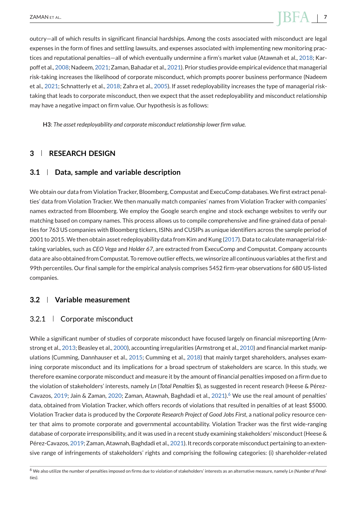<span id="page-7-0"></span>outcry—all of which results in significant financial hardships. Among the costs associated with misconduct are legal expenses in the form of fines and settling lawsuits, and expenses associated with implementing new monitoring practices and reputational penalties—all of which eventually undermine a firm's market value (Atawnah et al., [2018;](#page-23-0) Karpoff et al., [2008;](#page-25-0) Nadeem, [2021;](#page-26-0) Zaman, Bahadar et al., [2021\)](#page-26-0). Prior studies provide empirical evidence that managerial risk-taking increases the likelihood of corporate misconduct, which prompts poorer business performance (Nadeem et al., [2021;](#page-26-0) Schnatterly et al., [2018;](#page-26-0) Zahra et al., [2005\)](#page-26-0). If asset redeployability increases the type of managerial risktaking that leads to corporate misconduct, then we expect that the asset redeployability and misconduct relationship may have a negative impact on firm value. Our hypothesis is as follows:

**H3**: *The asset redeployability and corporate misconduct relationship lower firm value*.

# **3 RESEARCH DESIGN**

#### **3.1 Data, sample and variable description**

We obtain our data from Violation Tracker, Bloomberg, Compustat and ExecuComp databases. We first extract penalties' data from Violation Tracker. We then manually match companies' names from Violation Tracker with companies' names extracted from Bloomberg. We employ the Google search engine and stock exchange websites to verify our matching based on company names. This process allows us to compile comprehensive and fine-grained data of penalties for 763 US companies with Bloomberg tickers, ISINs and CUSIPs as unique identifiers across the sample period of 2001 to 2015.We then obtain asset redeployability data from Kim and Kung [\(2017\)](#page-25-0). Data to calculate managerial risktaking variables, such as *CEO Vega* and *Holder 67*, are extracted from ExecuComp and Compustat. Company accounts data are also obtained from Compustat. To remove outlier effects, we winsorize all continuous variables at the first and 99th percentiles. Our final sample for the empirical analysis comprises 5452 firm-year observations for 680 US-listed companies.

### **3.2 Variable measurement**

# 3.2.1 Corporate misconduct

While a significant number of studies of corporate misconduct have focused largely on financial misreporting (Armstrong et al., [2013;](#page-23-0) Beasley et al., [2000\)](#page-24-0), accounting irregularities (Armstrong et al., [2010\)](#page-23-0) and financial market manip-ulations (Cumming, Dannhauser et al., [2015;](#page-24-0) Cumming et al., [2018\)](#page-24-0) that mainly target shareholders, analyses examining corporate misconduct and its implications for a broad spectrum of stakeholders are scarce. In this study, we therefore examine corporate misconduct and measure it by the amount of financial penalties imposed on a firm due to the violation of stakeholders' interests, namely *Ln* (*Total Penalties* \$), as suggested in recent research (Heese & Pérez-Cavazos, [2019;](#page-25-0) Jain & Zaman, [2020;](#page-25-0) Zaman, Atawnah, Baghdadi et al., [2021\)](#page-26-0).<sup>6</sup> We use the real amount of penalties' data, obtained from Violation Tracker, which offers records of violations that resulted in penalties of at least \$5000. Violation Tracker data is produced by the *Corporate Research Project of Good Jobs First*, a national policy resource center that aims to promote corporate and governmental accountability. Violation Tracker was the first wide-ranging database of corporate irresponsibility, and it was used in a recent study examining stakeholders' misconduct (Heese & Pérez-Cavazos, [2019;](#page-25-0) Zaman, Atawnah, Baghdadi et al., [2021\)](#page-26-0). It records corporate misconduct pertaining to an extensive range of infringements of stakeholders' rights and comprising the following categories: (i) shareholder-related

<sup>6</sup> We also utilize the number of penalties imposed on firms due to violation of stakeholders' interests as an alternative measure, namely *Ln (Number of Penalties)*.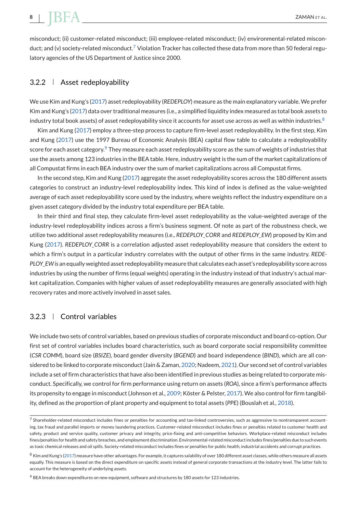# <span id="page-8-0"></span>**8**  $\mathbf{BFA}$  **ZAMAN** ET AL.

misconduct; (ii) customer-related misconduct; (iii) employee-related misconduct; (iv) environmental-related misconduct; and (v) society-related misconduct.<sup>7</sup> Violation Tracker has collected these data from more than 50 federal regulatory agencies of the US Department of Justice since 2000.

### 3.2.2 Asset redeployability

We use Kim and Kung's [\(2017\)](#page-25-0) asset redeployability (*REDEPLOY*) measure as the main explanatory variable. We prefer Kim and Kung's [\(2017\)](#page-25-0) data over traditional measures (i.e., a simplified liquidity index measured as total book assets to industry total book assets) of asset redeployability since it accounts for asset use across as well as within industries.<sup>8</sup>

Kim and Kung [\(2017\)](#page-25-0) employ a three-step process to capture firm-level asset redeployability. In the first step, Kim and Kung [\(2017\)](#page-25-0) use the 1997 Bureau of Economic Analysis (BEA) capital flow table to calculate a redeployability score for each asset category.<sup>9</sup> They measure each asset redeployability score as the sum of weights of industries that use the assets among 123 industries in the BEA table. Here, industry weight is the sum of the market capitalizations of all Compustat firms in each BEA industry over the sum of market capitalizations across all Compustat firms.

In the second step, Kim and Kung [\(2017\)](#page-25-0) aggregate the asset redeployability scores across the 180 different assets categories to construct an industry-level redeployability index. This kind of index is defined as the value-weighted average of each asset redeployability score used by the industry, where weights reflect the industry expenditure on a given asset category divided by the industry total expenditure per BEA table.

In their third and final step, they calculate firm-level asset redeployability as the value-weighted average of the industry-level redeployability indices across a firm's business segment. Of note as part of the robustness check, we utilize two additional asset redeployability measures (i.e., *REDEPLOY\_CORR* and *REDEPLOY\_EW*) proposed by Kim and Kung [\(2017\)](#page-25-0). *REDEPLOY\_CORR* is a correlation adjusted asset redeployability measure that considers the extent to which a firm's output in a particular industry correlates with the output of other firms in the same industry. *REDE-PLOY\_EW is* an equally weighted asset redeployability measure that calculates each asset's redeployability score across industries by using the number of firms (equal weights) operating in the industry instead of that industry's actual market capitalization. Companies with higher values of asset redeployability measures are generally associated with high recovery rates and more actively involved in asset sales.

# 3.2.3 Control variables

We include two sets of control variables, based on previous studies of corporate misconduct and board co-option. Our first set of control variables includes board characteristics, such as board corporate social responsibility committee (*CSR COMM*), board size (*BSIZE*), board gender diversity (*BGEND*) and board independence (*BIND*), which are all considered to be linked to corporate misconduct (Jain & Zaman, [2020;](#page-25-0) Nadeem, [2021\)](#page-26-0). Our second set of control variables include a set of firm characteristics that have also been identified in previous studies as being related to corporate misconduct. Specifically, we control for firm performance using return on assets (*ROA*), since a firm's performance affects its propensity to engage in misconduct (Johnson et al., [2009;](#page-25-0) Köster & Pelster, [2017\)](#page-25-0). We also control for firm tangibility, defined as the proportion of plant property and equipment to total assets (*PPE*) (Bouslah et al., [2018\)](#page-24-0).

 $^7$  Shareholder-related misconduct includes fines or penalties for accounting and tax-linked controversies, such as aggressive to nontransparent accounting, tax fraud and parallel imports or money laundering practices. Customer-related misconduct includes fines or penalties related to customer health and safety, product and service quality, customer privacy and integrity, price-fixing and anti-competitive behaviors. Workplace-related misconduct includes fines/penalties for health and safety breaches, and employment discrimination. Environmental-related misconduct includes fines/penalties due to such events as toxic chemical releases and oil spills. Society-related misconduct includes fines or penalties for public health, industrial accidents and corrupt practices.

<sup>8</sup> Kim and Kung's [\(2017\)](#page-25-0) measure have other advantages. For example, it captures salability of over 180 different asset classes, while others measure all assets equally. This measure is based on the direct expenditure on specific assets instead of general corporate transactions at the industry level. The latter fails to account for the heterogeneity of underlying assets.

 $9$  BEA breaks down expenditures on new equipment, software and structures by 180 assets for 123 industries.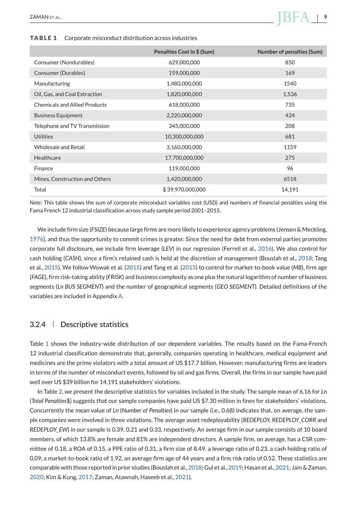# **Penalties Cost in \$ (Sum)** Number of penalties (Sum) Consumer (Nondurables) 629,000,000 850 Consumer (Durables) 159,000,000 169 169 Manufacturing 1,480,000,000 1540 Oil, Gas, and Coal Extraction 1,820,000,000 1,536 Chemicals and Allied Products 618,000,000 618,000,000 735 Business Equipment 2,220,000,000 424 Telephone and TV Transmission 345,000,000 208 Utilities 681 and 10,300,000,000 compared 681 and 10,300,000,000 compared 681 Wholesale and Retail 3,160,000,000 1159 Healthcare 17,700,000,000 275 Finance 319,000,000 36 96 Mines, Construction and Others 1,420,000,000 6518 Total 14.191 **5 39.970,000,000** 14.191

#### **TABLE 1** Corporate misconduct distribution across industries

*Note*: This table shows the sum of corporate misconduct variables cost (USD) and numbers of financial penalties using the Fama French 12 industrial classification across study sample period 2001–2015.

We include firm size (*FSIZE*) because large firms are more likely to experience agency problems (Jensen & Meckling, [1976\)](#page-25-0), and thus the opportunity to commit crimes is greater. Since the need for debt from external parties promotes corporate full disclosure, we include firm leverage (*LEV*) in our regression (Ferrell et al., [2016\)](#page-24-0). We also control for cash holding (*CASH*), since a firm's retained cash is held at the discretion of management (Bouslah et al., [2018;](#page-24-0) Tang et al., [2015\)](#page-26-0). We follow Wowak et al. [\(2015\)](#page-26-0) and Tang et al. [\(2015\)](#page-26-0) to control for market-to-book value (*MB*), firm age (*FAGE*), firm risk-taking ability (*FRISK*) and business complexity as one plus the natural logarithm of number of business segments (*Ln BUS SEGMENT*) and the number of geographical segments (*GEO SEGMENT*). Detailed definitions of the variables are included in Appendix [A.](#page-27-0)

### 3.2.4 Descriptive statistics

Table 1 shows the industry-wide distribution of our dependent variables. The results based on the Fama-French 12 industrial classification demonstrate that, generally, companies operating in healthcare, medical equipment and medicines are the prime violators with a total amount of US \$17.7 billion. However, manufacturing firms are leaders in terms of the number of misconduct events, followed by oil and gas firms. Overall, the firms in our sample have paid well over US \$39 billion for 14,191 stakeholders' violations.

In Table [2,](#page-10-0) we present the descriptive statistics for variables included in the study. The sample mean of 6.16 for *Ln* (*Total Penalties*\$) suggests that our sample companies have paid US \$7.30 million in fines for stakeholders' violations. Concurrently the mean value of *Ln* (*Number of Penalties*) in our sample (i.e., 0.68) indicates that, on average, the sample companies were involved in three violations. The average asset redeployability (*REDEPLOY, REDEPLOY\_CORR* and *REDEPLOY\_EW*) in our sample is 0.39, 0.21 and 0.33, respectively. An average firm in our sample consists of 10 board members, of which 13.8% are female and 81% are independent directors. A sample firm, on average, has a CSR committee of 0.18, a ROA of 0.15, a PPE ratio of 0.31, a firm size of 8.49, a leverage ratio of 0.23, a cash holding ratio of 0.09, a market-to-book ratio of 1.92, an average firm age of 44 years and a firm risk ratio of 0.52. These statistics are comparable with those reported in prior studies (Bouslah et al., [2018;](#page-24-0) Gul et al., [2019;](#page-25-0) Hasan et al., [2021;](#page-25-0) Jain & Zaman, [2020;](#page-25-0) Kim & Kung, [2017;](#page-25-0) Zaman, Atawnah, Haseeb et al., [2021\)](#page-26-0).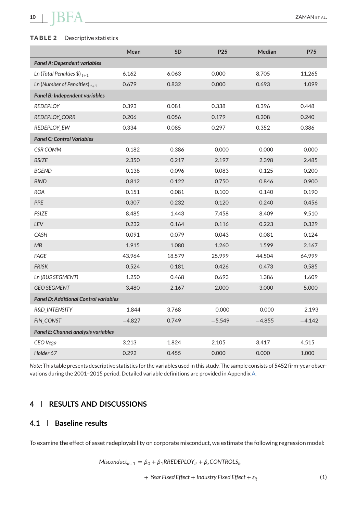### <span id="page-10-0"></span>**TABLE 2** Descriptive statistics

|                                              | Mean     | <b>SD</b> | P <sub>25</sub> | <b>Median</b> | <b>P75</b> |
|----------------------------------------------|----------|-----------|-----------------|---------------|------------|
| <b>Panel A: Dependent variables</b>          |          |           |                 |               |            |
| Ln (Total Penalties \$) $_{t+1}$             | 6.162    | 6.063     | 0.000           | 8.705         | 11.265     |
| Ln (Number of Penalties) $t+1$               | 0.679    | 0.832     | 0.000           | 0.693         | 1.099      |
| Panel B: Independent variables               |          |           |                 |               |            |
| <b>REDEPLOY</b>                              | 0.393    | 0.081     | 0.338           | 0.396         | 0.448      |
| REDEPLOY_CORR                                | 0.206    | 0.056     | 0.179           | 0.208         | 0.240      |
| <b>REDEPLOY_EW</b>                           | 0.334    | 0.085     | 0.297           | 0.352         | 0.386      |
| <b>Panel C: Control Variables</b>            |          |           |                 |               |            |
| <b>CSR COMM</b>                              | 0.182    | 0.386     | 0.000           | 0.000         | 0.000      |
| <b>BSIZE</b>                                 | 2.350    | 0.217     | 2.197           | 2.398         | 2.485      |
| <b>BGEND</b>                                 | 0.138    | 0.096     | 0.083           | 0.125         | 0.200      |
| <b>BIND</b>                                  | 0.812    | 0.122     | 0.750           | 0.846         | 0.900      |
| <b>ROA</b>                                   | 0.151    | 0.081     | 0.100           | 0.140         | 0.190      |
| PPE                                          | 0.307    | 0.232     | 0.120           | 0.240         | 0.456      |
| <b>FSIZE</b>                                 | 8.485    | 1.443     | 7.458           | 8.409         | 9.510      |
| LEV                                          | 0.232    | 0.164     | 0.116           | 0.223         | 0.329      |
| CASH                                         | 0.091    | 0.079     | 0.043           | 0.081         | 0.124      |
| MB                                           | 1.915    | 1.080     | 1.260           | 1.599         | 2.167      |
| FAGE                                         | 43.964   | 18.579    | 25.999          | 44.504        | 64.999     |
| <b>FRISK</b>                                 | 0.524    | 0.181     | 0.426           | 0.473         | 0.585      |
| Ln (BUS SEGMENT)                             | 1.250    | 0.468     | 0.693           | 1.386         | 1.609      |
| <b>GEO SEGMENT</b>                           | 3.480    | 2.167     | 2.000           | 3.000         | 5.000      |
| <b>Panel D: Additional Control variables</b> |          |           |                 |               |            |
| R&D_INTENSITY                                | 1.844    | 3.768     | 0.000           | 0.000         | 2.193      |
| <b>FIN CONST</b>                             | $-4.827$ | 0.749     | $-5.549$        | $-4.855$      | $-4.142$   |
| Panel E: Channel analysis variables          |          |           |                 |               |            |
| CEO Vega                                     | 3.213    | 1.824     | 2.105           | 3.417         | 4.515      |
| Holder 67                                    | 0.292    | 0.455     | 0.000           | 0.000         | 1.000      |
|                                              |          |           |                 |               |            |

*Note*: This table presents descriptive statistics for the variables used in this study. The sample consists of 5452 firm-year observations during the 2001–2015 period. Detailed variable definitions are provided in Appendix [A.](#page-27-0)

# **4 RESULTS AND DISCUSSIONS**

## **4.1 Baseline results**

To examine the effect of asset redeployability on corporate misconduct, we estimate the following regression model:

$$
Misconduct_{it+1} = \beta_0 + \beta_1 RREDEPLOY_{it} + \beta_2 CONTROLS_{it}
$$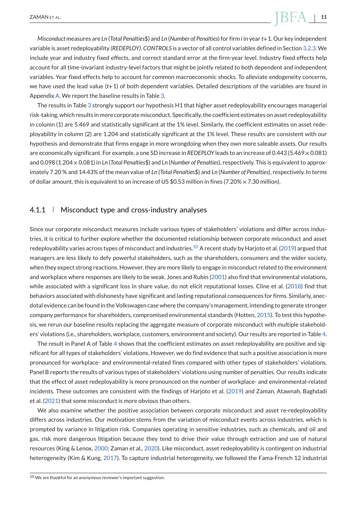# ZAMAN ET AL. **11**

*Misconduct* measures are *Ln* (*Total Penalties*\$) and *Ln* (*Number of Penalties*) for firm *i* in year *t*+1. Our key independent variable is asset redeployability *(REDEPLOY)*. *CONTROLS* is a vector of all control variables defined in Section [3.2.3.](#page-8-0) We include year and industry fixed effects, and correct standard error at the firm-year level. Industry fixed effects help account for all time-invariant industry-level factors that might be jointly related to both dependent and independent variables. Year fixed effects help to account for common macroeconomic shocks. To alleviate endogeneity concerns, we have used the lead value (*t*+1) of both dependent variables. Detailed descriptions of the variables are found in Appendix [A.](#page-27-0) We report the baseline results in Table [3.](#page-12-0)

The results in Table [3](#page-12-0) strongly support our hypothesis H1 that higher asset redeployability encourages managerial risk-taking, which results in more corporate misconduct. Specifically, the coefficient estimates on asset redeployability in column (1) are 5.469 and statistically significant at the 1% level. Similarly, the coefficient estimates on asset redeployability in column (2) are 1.204 and statistically significant at the 1% level. These results are consistent with our hypothesis and demonstrate that firms engage in more wrongdoing when they own more saleable assets. Our results are economically significant. For example, a one SD increase in *REDEPLOY* leads to an increase of 0.443 (5.469 × 0.081) and 0.098 (1.204 × 0.081) in *Ln* (*Total Penalties*\$) and *Ln* (*Number of Penalties*), respectively. This is equivalent to approximately 7.20 % and 14.43% of the mean value of *Ln* (*Total Penalties*\$) and *Ln* (*Number of Penalties*), respectively. In terms of dollar amount, this is equivalent to an increase of US \$0.53 million in fines (7.20%  $\times$  7.30 million).

#### 4.1.1 | Misconduct type and cross-industry analyses

Since our corporate misconduct measures include various types of stakeholders' violations and differ across industries, it is critical to further explore whether the documented relationship between corporate misconduct and asset redeployability varies across types of misconduct and industries.<sup>10</sup> A recent study by Harjoto et al. [\(2019\)](#page-25-0) argued that managers are less likely to defy powerful stakeholders, such as the shareholders, consumers and the wider society, when they expect strong reactions. However, they are more likely to engage in misconduct related to the environment and workplace where responses are likely to be weak. Jones and Rubin [\(2001\)](#page-25-0) also find that environmental violations, while associated with a significant loss in share value, do not elicit reputational losses. Cline et al. [\(2018\)](#page-24-0) find that behaviors associated with dishonesty have significant and lasting reputational consequences for firms. Similarly, anecdotal evidence can be found in the Volkswagen case where the company's management, intending to generate stronger company performance for shareholders, compromised environmental standards (Hotten, [2015\)](#page-25-0). To test this hypothesis, we rerun our baseline results replacing the aggregate measure of corporate misconduct with multiple stakeholders' violations (i.e., shareholders, workplace, customers, environment and society). Our results are reported in Table [4.](#page-13-0)

The result in Panel A of Table [4](#page-13-0) shows that the coefficient estimates on asset redeployability are positive and significant for all types of stakeholders' violations. However, we do find evidence that such a positive association is more pronounced for workplace- and environmental-related fines compared with other types of stakeholders' violations. Panel B reports the results of various types of stakeholders' violations using number of penalties. Our results indicate that the effect of asset redeployability is more pronounced on the number of workplace- and environmental-related incidents. These outcomes are consistent with the findings of Harjoto et al. [\(2019\)](#page-25-0) and Zaman, Atawnah, Baghdadi et al. [\(2021\)](#page-26-0) that some misconduct is more obvious than others.

We also examine whether the positive association between corporate misconduct and asset re-redeployability differs across industries. Our motivation stems from the variation of misconduct events across industries, which is prompted by variance in litigation risk. Companies operating in sensitive industries, such as chemicals, and oil and gas, risk more dangerous litigation because they tend to drive their value through extraction and use of natural resources (King & Lenox, [2000;](#page-25-0) Zaman et al., [2020\)](#page-26-0). Like misconduct, asset redeployability is contingent on industrial heterogeneity (Kim & Kung, [2017\)](#page-25-0). To capture industrial heterogeneity, we followed the Fama-French 12 industrial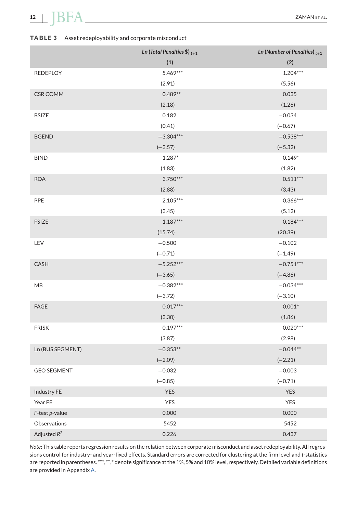# <span id="page-12-0"></span>**12 BFA** ZAMAN ET AL.

# **TABLE 3** Asset redeployability and corporate misconduct

|                    | Ln (Total Penalties \$) $_{t+1}$ | Ln (Number of Penalties) $t+1$ |
|--------------------|----------------------------------|--------------------------------|
|                    | (1)                              | (2)                            |
| <b>REDEPLOY</b>    | 5.469***                         | $1.204***$                     |
|                    | (2.91)                           | (5.56)                         |
| <b>CSR COMM</b>    | $0.489**$                        | 0.035                          |
|                    | (2.18)                           | (1.26)                         |
| <b>BSIZE</b>       | 0.182                            | $-0.034$                       |
|                    | (0.41)                           | $(-0.67)$                      |
| <b>BGEND</b>       | $-3.304***$                      | $-0.538***$                    |
|                    | $(-3.57)$                        | $(-5.32)$                      |
| <b>BIND</b>        | $1.287*$                         | $0.149*$                       |
|                    | (1.83)                           | (1.82)                         |
| <b>ROA</b>         | $3.750***$                       | $0.511***$                     |
|                    | (2.88)                           | (3.43)                         |
| PPE                | $2.105***$                       | $0.366***$                     |
|                    | (3.45)                           | (5.12)                         |
| <b>FSIZE</b>       | $1.187***$                       | $0.184***$                     |
|                    | (15.74)                          | (20.39)                        |
| LEV                | $-0.500$                         | $-0.102$                       |
|                    | $(-0.71)$                        | $(-1.49)$                      |
| <b>CASH</b>        | $-5.252***$                      | $-0.751***$                    |
|                    | $(-3.65)$                        | $(-4.86)$                      |
| МB                 | $-0.382***$                      | $-0.034***$                    |
|                    | $(-3.72)$                        | $(-3.10)$                      |
| <b>FAGE</b>        | $0.017***$                       | $0.001*$                       |
|                    | (3.30)                           | (1.86)                         |
| <b>FRISK</b>       | $0.197***$                       | $0.020***$                     |
|                    | (3.87)                           | (2.98)                         |
| Ln (BUS SEGMENT)   | $-0.353**$                       | $-0.044**$                     |
|                    | $(-2.09)$                        | $(-2.21)$                      |
| <b>GEO SEGMENT</b> | $-0.032$                         | $-0.003$                       |
|                    | $(-0.85)$                        | $(-0.71)$                      |
| Industry FE        | <b>YES</b>                       | YES                            |
| Year FE            | YES                              | YES                            |
| F-test p-value     | 0.000                            | 0.000                          |
| Observations       | 5452                             | 5452                           |
| Adjusted $R^2$     | 0.226                            | 0.437                          |

*Note*: This table reports regression results on the relation between corporate misconduct and asset redeployability. All regressions control for industry- and year-fixed effects. Standard errors are corrected for clustering at the firm level and *t*-statistics are reported in parentheses. \*\*\*, \*\*, \* denote significance at the 1%, 5% and 10% level, respectively. Detailed variable definitions are provided in Appendix [A.](#page-27-0)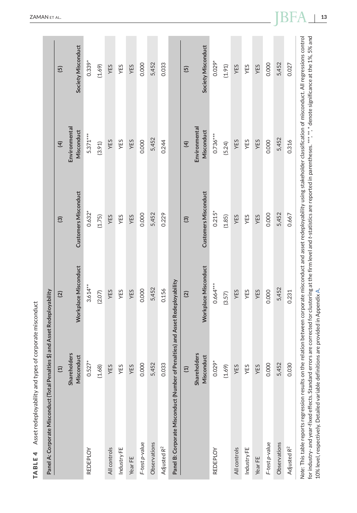<span id="page-13-0"></span>

| Panel A: Corporate Misconduct (Total Penalties \$) and Asset Redeployability                                                                                                                                                                                                                                                                                                                                                                                                         |                                   |                      |                             |                             |                    |
|--------------------------------------------------------------------------------------------------------------------------------------------------------------------------------------------------------------------------------------------------------------------------------------------------------------------------------------------------------------------------------------------------------------------------------------------------------------------------------------|-----------------------------------|----------------------|-----------------------------|-----------------------------|--------------------|
|                                                                                                                                                                                                                                                                                                                                                                                                                                                                                      | $\Xi$                             | $\overline{2}$       | $\overline{3}$              | $\overline{4}$              | $\overline{5}$     |
|                                                                                                                                                                                                                                                                                                                                                                                                                                                                                      | <b>Shareholders</b><br>Misconduct | Workplace Misconduct | <b>Customers Misconduct</b> | Environmental<br>Misconduct | Society Misconduct |
| <b>REDEPLOY</b>                                                                                                                                                                                                                                                                                                                                                                                                                                                                      | $0.527*$                          | $3.614***$           | $0.632*$                    | $5.371***$                  | $0.339*$           |
|                                                                                                                                                                                                                                                                                                                                                                                                                                                                                      | (1.68)                            | (2.07)               | (1.75)                      | (3.91)                      | (1.69)             |
| All controls                                                                                                                                                                                                                                                                                                                                                                                                                                                                         | YES                               | YES                  | YES                         | YES                         | YES                |
| Industry FE                                                                                                                                                                                                                                                                                                                                                                                                                                                                          | YES                               | YES                  | YES                         | YES                         | YES                |
| Year FE                                                                                                                                                                                                                                                                                                                                                                                                                                                                              | YES                               | YES                  | YES                         | YES                         | YES                |
| F-test p-value                                                                                                                                                                                                                                                                                                                                                                                                                                                                       | 0.000                             | 0.000                | 0.000                       | 0.000                       | 0.000              |
| Observations                                                                                                                                                                                                                                                                                                                                                                                                                                                                         | 5,452                             | 5,452                | 5,452                       | 5,452                       | 5,452              |
| Adjusted R <sup>2</sup>                                                                                                                                                                                                                                                                                                                                                                                                                                                              | 0.033                             | 0.156                | 0.229                       | 0.244                       | 0.033              |
| Panel B: Corporate Misconduct (Number of Penalties) and Asset Redeployability                                                                                                                                                                                                                                                                                                                                                                                                        |                                   |                      |                             |                             |                    |
|                                                                                                                                                                                                                                                                                                                                                                                                                                                                                      | $\Xi$                             | $\overline{2}$       | $\widehat{\mathbf{e}}$      | $\overline{4}$              | $\overline{5}$     |
|                                                                                                                                                                                                                                                                                                                                                                                                                                                                                      | <b>Shareholders</b><br>Misconduct | Workplace Misconduct | <b>Customers Misconduct</b> | Environmental<br>Misconduct | Society Misconduct |
| REDEPLOY                                                                                                                                                                                                                                                                                                                                                                                                                                                                             | $0.029*$                          | $0.664***$           | $0.215*$                    | $0.736***$                  | $0.029*$           |
|                                                                                                                                                                                                                                                                                                                                                                                                                                                                                      | (1.69)                            | (3.57)               | (1.85)                      | (5.24)                      | (1.91)             |
| All controls                                                                                                                                                                                                                                                                                                                                                                                                                                                                         | YES                               | YES                  | YES                         | YES                         | YES                |
| Industry FE                                                                                                                                                                                                                                                                                                                                                                                                                                                                          | YES                               | YES                  | YES                         | YES                         | YES                |
| Year FE                                                                                                                                                                                                                                                                                                                                                                                                                                                                              | YES                               | YES                  | YES                         | YES                         | YES                |
| F-test p-value                                                                                                                                                                                                                                                                                                                                                                                                                                                                       | 0.000                             | 0.000                | 0.000                       | 0.000                       | 0.000              |
| Observations                                                                                                                                                                                                                                                                                                                                                                                                                                                                         | 5,452                             | 5,452                | 5,452                       | 5,452                       | 5,452              |
| Adjusted R <sup>2</sup>                                                                                                                                                                                                                                                                                                                                                                                                                                                              | 0.030                             | 0.231                | 0.667                       | 0.316                       | 0.027              |
| Note: This table reports regression results on the relation between corporate misconduct and asset redeployability using stakeholder classification of misconduct. All regressions control<br>for industry- and year-fixed effects. Standard errors are corrected for clustering at the firm level and t-statistics are reported in parentheses. ***, ** denote significance at the 1%, 5% and<br>10% level, respectively. Detailed variable definitions are provided in Appendix A. |                                   |                      |                             |                             |                    |

**TABLE 4** Asset redeployability and types of corporate misconduct

TABLE 4 Asset redeployability and types of corporate misconduct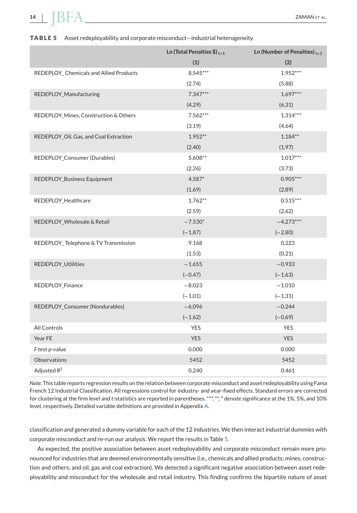# **14**  $\blacksquare$   $\blacksquare$   $\blacksquare$   $\blacksquare$   $\blacksquare$   $\blacksquare$   $\blacksquare$   $\blacksquare$   $\blacksquare$   $\blacksquare$   $\blacksquare$   $\blacksquare$   $\blacksquare$   $\blacksquare$   $\blacksquare$   $\blacksquare$   $\blacksquare$   $\blacksquare$   $\blacksquare$   $\blacksquare$   $\blacksquare$   $\blacksquare$   $\blacksquare$   $\blacksquare$   $\blacksquare$   $\blacksquare$   $\blacksquare$   $\blacksquare$   $\blacksquare$   $\blacksquare$   $\blacksquare$

#### **TABLE 5** Asset redeployability and corporate misconduct—industrial heterogeneity

|                                        | Ln (Total Penalties $\$\right)_{t+1}$ | Ln (Number of Penalties) $t+1$ |
|----------------------------------------|---------------------------------------|--------------------------------|
|                                        | (1)                                   | (2)                            |
| REDEPLOY_Chemicals and Allied Products | 8.545***                              | 1.952***                       |
|                                        | (2.74)                                | (5.88)                         |
| REDEPLOY_Manufacturing                 | $7.347***$                            | $1.697***$                     |
|                                        | (4.29)                                | (6.31)                         |
| REDEPLOY_Mines, Construction & Others  | $7.562***$                            | $1.314***$                     |
|                                        | (3.19)                                | (4.64)                         |
| REDEPLOY_Oil, Gas, and Coal Extraction | $1.952**$                             | $1.184**$                      |
|                                        | (2.40)                                | (1.97)                         |
| REDEPLOY_Consumer (Durables)           | 5.608**                               | $1.017***$                     |
|                                        | (2.26)                                | (3.73)                         |
| REDEPLOY_Business Equipment            | 4.587*                                | $0.905***$                     |
|                                        | (1.69)                                | (2.89)                         |
| REDEPLOY_Healthcare                    | $1.762**$                             | $0.515***$                     |
|                                        | (2.59)                                | (2.62)                         |
| REDEPLOY_Wholesale & Retail            | $-7.530*$                             | $-4.273***$                    |
|                                        | $(-1.87)$                             | $(-2.80)$                      |
| REDEPLOY_Telephone & TV Transmission   | 9.168                                 | 0.223                          |
|                                        | (1.53)                                | (0.21)                         |
| REDEPLOY_Utlilities                    | $-1.655$                              | $-0.933$                       |
|                                        | $(-0.47)$                             | $(-1.63)$                      |
| REDEPLOY_Finance                       | $-8.023$                              | $-1.010$                       |
|                                        | $(-1.01)$                             | $(-1.31)$                      |
| REDEPLOY_Consumer (Nondurables)        | $-6.096$                              | $-0.244$                       |
|                                        | $(-1.62)$                             | $(-0.69)$                      |
| All Controls                           | <b>YES</b>                            | <b>YES</b>                     |
| Year FE                                | <b>YES</b>                            | <b>YES</b>                     |
| F test p-value                         | 0.000                                 | 0.000                          |
| Observations                           | 5452                                  | 5452                           |
| Adjusted $R^2$                         | 0.240                                 | 0.461                          |

*Note*: This table reports regression results on the relation between corporate misconduct and asset redeployability using Fama French 12 Industrial Classification. All regressions control for industry- and year-fixed effects. Standard errors are corrected for clustering at the firm level and *t*-statistics are reported in parentheses. \*\*\*, \*\*, \* denote significance at the 1%, 5%, and 10% level, respectively. Detailed variable definitions are provided in Appendix [A.](#page-27-0)

classification and generated a dummy variable for each of the 12 industries. We then interact industrial dummies with corporate misconduct and re-run our analysis. We report the results in Table 5.

As expected, the positive association between asset redeployability and corporate misconduct remain more pronounced for industries that are deemed environmentally sensitive (i.e., chemicals and allied products; mines, construction and others; and oil, gas and coal extraction). We detected a significant negative association between asset redeployability and misconduct for the wholesale and retail industry. This finding confirms the bipartite nature of asset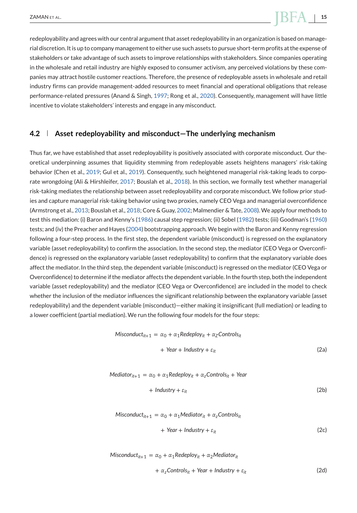# <span id="page-15-0"></span> $Z$ AMAN ET AL. **15**

redeployability and agrees with our central argument that asset redeployability in an organization is based on managerial discretion. It is up to company management to either use such assets to pursue short-term profits at the expense of stakeholders or take advantage of such assets to improve relationships with stakeholders. Since companies operating in the wholesale and retail industry are highly exposed to consumer activism, any perceived violations by these companies may attract hostile customer reactions. Therefore, the presence of redeployable assets in wholesale and retail industry firms can provide management-added resources to meet financial and operational obligations that release performance-related pressures (Anand & Singh, [1997;](#page-23-0) Rong et al., [2020\)](#page-26-0). Consequently, management will have little incentive to violate stakeholders' interests and engage in any misconduct.

#### **4.2 Asset redeployability and misconduct—The underlying mechanism**

Thus far, we have established that asset redeployability is positively associated with corporate misconduct. Our theoretical underpinning assumes that liquidity stemming from redeployable assets heightens managers' risk-taking behavior (Chen et al., [2019;](#page-24-0) Gul et al., [2019\)](#page-25-0). Consequently, such heightened managerial risk-taking leads to corporate wrongdoing (Ali & Hirshleifer, [2017;](#page-23-0) Bouslah et al., [2018\)](#page-24-0). In this section, we formally test whether managerial risk-taking mediates the relationship between asset redeployability and corporate misconduct. We follow prior studies and capture managerial risk-taking behavior using two proxies, namely CEO Vega and managerial overconfidence (Armstrong et al., [2013;](#page-23-0) Bouslah et al., [2018;](#page-24-0) Core & Guay, [2002;](#page-24-0) Malmendier & Tate, [2008\)](#page-25-0).We apply four methods to test this mediation: (i) Baron and Kenny's [\(1986\)](#page-24-0) causal step regression; (ii) Sobel [\(1982\)](#page-26-0) tests; (iii) Goodman's [\(1960\)](#page-24-0) tests; and (iv) the Preacher and Hayes [\(2004\)](#page-26-0) bootstrapping approach. We begin with the Baron and Kenny regression following a four-step process. In the first step, the dependent variable (misconduct) is regressed on the explanatory variable (asset redeployability) to confirm the association. In the second step, the mediator (CEO Vega or Overconfidence) is regressed on the explanatory variable (asset redeployability) to confirm that the explanatory variable does affect the mediator. In the third step, the dependent variable (misconduct) is regressed on the mediator (CEO Vega or Overconfidence) to determine if the mediator affects the dependent variable. In the fourth step, both the independent variable (asset redeployability) and the mediator (CEO Vega or Overconfidence) are included in the model to check whether the inclusion of the mediator influences the significant relationship between the explanatory variable (asset redeployability) and the dependent variable (misconduct)—either making it insignificant (full mediation) or leading to a lower coefficient (partial mediation). We run the following four models for the four steps:

$$
Misconduct_{it+1} = \alpha_0 + \alpha_1 Redeploy_{it} + \alpha_2 Controls_{it}
$$

$$
+ \text{Year} + \text{Industry} + \varepsilon_{it} \tag{2a}
$$

$$
Mediator_{it+1} = \alpha_0 + \alpha_1 Redeploy_{it} + \alpha_2 Controls_{it} + Year
$$

$$
+ \text{ Industry} + \varepsilon_{it} \tag{2b}
$$

$$
Misconduct_{it+1} = \alpha_0 + \alpha_1 Mediator_{it} + \alpha_2 Controls_{it}
$$
  
+ *Year + Industry +  $\varepsilon_{it}$*  (2c)

$$
Misconduct_{it+1} = \alpha_0 + \alpha_1 Redeploy_{it} + \alpha_2 Mediator_{it}
$$

 $+\alpha_z$ Controls<sub>it</sub> + *Year* + *Industry* +  $\varepsilon_{it}$  (2d)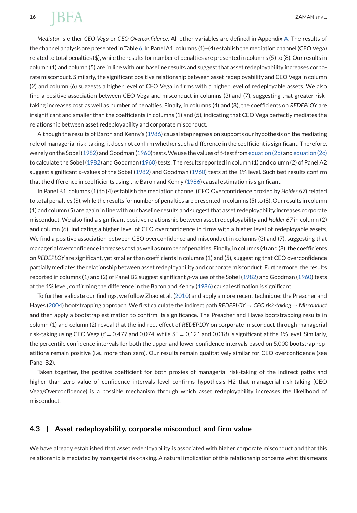# *Mediator* is either *CEO Vega* or *CEO Overconfidence*. All other variables are defined in Appendix [A.](#page-27-0) The results of the channel analysis are presented in Table [6.](#page-17-0) In Panel A1, columns (1)–(4) establish the mediation channel (CEO Vega) related to total penalties (\$), while the results for number of penalties are presented in columns (5) to (8). Our results in column (1) and column (5) are in line with our baseline results and suggest that asset redeployability increases corporate misconduct. Similarly, the significant positive relationship between asset redeployability and CEO Vega in column (2) and column (6) suggests a higher level of CEO Vega in firms with a higher level of redeployable assets. We also find a positive association between CEO Vega and misconduct in columns (3) and (7), suggesting that greater risktaking increases cost as well as number of penalties. Finally, in columns (4) and (8), the coefficients on *REDEPLOY* are insignificant and smaller than the coefficients in columns (1) and (5), indicating that CEO Vega perfectly mediates the relationship between asset redeployability and corporate misconduct.

Although the results of Baron and Kenny's [\(1986\)](#page-24-0) causal step regression supports our hypothesis on the mediating role of managerial risk-taking, it does not confirm whether such a difference in the coefficient is significant. Therefore, we rely on the Sobel [\(1982\)](#page-26-0) and Goodman [\(1960\)](#page-24-0) tests.We use the values of*t*-test from [equation \(2b\)](#page-15-0) and [equation \(2c\)](#page-15-0) to calculate the Sobel [\(1982\)](#page-26-0) and Goodman [\(1960\)](#page-24-0) tests. The results reported in column (1) and column (2) of Panel A2 suggest significant *p*-values of the Sobel [\(1982\)](#page-26-0) and Goodman [\(1960\)](#page-24-0) tests at the 1% level. Such test results confirm that the difference in coefficients using the Baron and Kenny [\(1986\)](#page-24-0) causal estimation is significant.

In Panel B1, columns (1) to (4) establish the mediation channel (CEO Overconfidence proxied by *Holder 67*) related to total penalties (\$), while the results for number of penalties are presented in columns (5) to (8). Our results in column (1) and column (5) are again in line with our baseline results and suggest that asset redeployability increases corporate misconduct. We also find a significant positive relationship between asset redeployability and *Holder 67* in column (2) and column (6), indicating a higher level of CEO overconfidence in firms with a higher level of redeployable assets. We find a positive association between CEO overconfidence and misconduct in columns (3) and (7), suggesting that managerial overconfidence increases cost as well as number of penalties. Finally, in columns (4) and (8), the coefficients on *REDEPLOY* are significant, yet smaller than coefficients in columns (1) and (5), suggesting that CEO overconfidence partially mediates the relationship between asset redeployability and corporate misconduct. Furthermore, the results reported in columns (1) and (2) of Panel B2 suggest significant *p*-values of the Sobel [\(1982\)](#page-26-0) and Goodman [\(1960\)](#page-24-0) tests at the 1% level, confirming the difference in the Baron and Kenny [\(1986\)](#page-24-0) causal estimation is significant.

To further validate our findings, we follow Zhao et al. [\(2010\)](#page-26-0) and apply a more recent technique: the Preacher and Hayes [\(2004\)](#page-26-0) bootstrapping approach. We first calculate the indirect path *REDEPLOY* → *CEO risk-taking* → *Misconduct* and then apply a bootstrap estimation to confirm its significance. The Preacher and Hayes bootstrapping results in column (1) and column (2) reveal that the indirect effect of *REDEPLOY* on corporate misconduct through managerial risk-taking using CEO Vega (*β* = 0.477 and 0.074, while SE = 0.121 and 0.018) is significant at the 1% level. Similarly, the percentile confidence intervals for both the upper and lower confidence intervals based on 5,000 bootstrap repetitions remain positive (i.e., more than zero). Our results remain qualitatively similar for CEO overconfidence (see Panel B2).

Taken together, the positive coefficient for both proxies of managerial risk-taking of the indirect paths and higher than zero value of confidence intervals level confirms hypothesis H2 that managerial risk-taking (CEO Vega/Overconfidence) is a possible mechanism through which asset redeployability increases the likelihood of misconduct.

## **4.3 Asset redeployability, corporate misconduct and firm value**

We have already established that asset redeployability is associated with higher corporate misconduct and that this relationship is mediated by managerial risk-taking. A natural implication of this relationship concerns what this means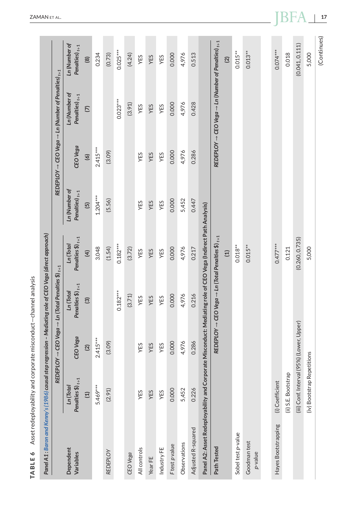<span id="page-17-0"></span>

| Panel A1 : Baron and Kenny's (1986) causal step regression – Mediating role of CEO Vega (direct approach)     |                                           |                |                                                                                                  |                                                |                                   |            |                                                                                 |                                      |
|---------------------------------------------------------------------------------------------------------------|-------------------------------------------|----------------|--------------------------------------------------------------------------------------------------|------------------------------------------------|-----------------------------------|------------|---------------------------------------------------------------------------------|--------------------------------------|
|                                                                                                               | <b>REDEPL</b>                             |                | OY $\rightarrow$ CEO Vega $\rightarrow$ Ln (Total Penalties $\$\wr_{t+1}$                        |                                                |                                   |            | REDEPLOY $\rightarrow$ CEO Vega $\rightarrow$ Ln (Number of Penalties) $_{t+1}$ |                                      |
| Dependent<br>Variables                                                                                        | Penalties $\oint$ ) $t+1$<br>Ln(Tota)     | CEO Vega       | Penalties $\$\}_{t+1}$<br>Ln (Total                                                              | Penalties $\oint_{t+1}$<br>Ln (Total           | Ln (Number of<br>Penalties) $t+1$ | CEO Vega   | Ln (Number of<br>Penalties) $_{t+1}$                                            | Ln (Number of<br>Penalties) $_{t+1}$ |
|                                                                                                               | $\Xi$                                     | $\overline{2}$ | $\widehat{\mathcal{O}}$                                                                          | $\widehat{4}$                                  | $\overline{5}$                    | $\circ$    | $\overline{C}$                                                                  | @                                    |
|                                                                                                               | 5.469***                                  | $2.415***$     |                                                                                                  | 3.048                                          | $1.204***$                        | $2.415***$ |                                                                                 | 0.234                                |
| <b>REDEPLOY</b>                                                                                               | (2.91)                                    | (3.09)         |                                                                                                  | (1.54)                                         | (5.56)                            | (3.09)     |                                                                                 | (0.73)                               |
|                                                                                                               |                                           |                | $0.182***$                                                                                       | $0.182***$                                     |                                   |            | $0.023***$                                                                      | $0.025***$                           |
| CEO Vega                                                                                                      |                                           |                | (3.71)                                                                                           | (3.72)                                         |                                   |            | (3.91)                                                                          | (4.24)                               |
| All controls                                                                                                  | YES                                       | YES            | YES                                                                                              | YES                                            | YES                               | YES        | YES                                                                             | YES                                  |
| Year FE                                                                                                       | YES                                       | YES            | YES                                                                                              | YES                                            | YES                               | YES        | YES                                                                             | YES                                  |
| Industry FE                                                                                                   | YES                                       | YES            | YES                                                                                              | YES                                            | YES                               | YES        | YES                                                                             | YES                                  |
| Ftest p value                                                                                                 | 0.000                                     | 0.000          | 0.000                                                                                            | 0.000                                          | 0.000                             | 0.000      | 0.000                                                                           | 0.000                                |
| Observations                                                                                                  | 5,452                                     | 4,976          | 4,976                                                                                            | 4,976                                          | 5,452                             | 4,976      | 4,976                                                                           | 4,976                                |
| Adjusted R-squared                                                                                            | 0.226                                     | 0.286          | 0.216                                                                                            | 0.217                                          | 0.447                             | 0.286      | 0.428                                                                           | 0.513                                |
| Panel A2: Asset Redeployability and Corporate Misconduct: Mediating role of CEO Vega (Indirect Path Analysis) |                                           |                |                                                                                                  |                                                |                                   |            |                                                                                 |                                      |
| Path Tested                                                                                                   |                                           |                | $\mathsf{REDEPCOV}\to \mathsf{CEO\, Vega}\to \mathsf{Ln}\,(\mathsf{Total\,Penalties\,\$})_{t+1}$ |                                                |                                   |            | REDEPLOY $\rightarrow$ CEO Vega $\rightarrow$ Ln (Number of Penalties) $_{t+1}$ |                                      |
|                                                                                                               |                                           |                |                                                                                                  | $\left( \begin{matrix} 1 \end{matrix} \right)$ |                                   |            |                                                                                 | $\overline{2}$                       |
| Sobel test p-value                                                                                            |                                           |                |                                                                                                  | $0.018**$                                      |                                   |            |                                                                                 | $0.015**$                            |
| Goodman test<br>p-value                                                                                       |                                           |                |                                                                                                  | $0.015***$                                     |                                   |            |                                                                                 | $0.013***$                           |
|                                                                                                               |                                           |                |                                                                                                  |                                                |                                   |            |                                                                                 |                                      |
| Hayes Bootstrapping                                                                                           | (i) Coefficient                           |                |                                                                                                  | $0.477***$                                     |                                   |            |                                                                                 | $0.074***$                           |
|                                                                                                               | (ii) S.E. Bootstrap                       |                |                                                                                                  | 0.121                                          |                                   |            |                                                                                 | 0.018                                |
|                                                                                                               | (iii) Conf. Interval (95%) (Lower, Upper) |                |                                                                                                  | (0.260, 0.735)                                 |                                   |            |                                                                                 | (0.041, 0.111)                       |
|                                                                                                               | (iv) Bootstrap Repetitions                |                |                                                                                                  | 5,000                                          |                                   |            |                                                                                 | 5,000                                |
|                                                                                                               |                                           |                |                                                                                                  |                                                |                                   |            |                                                                                 | (Continues)                          |

**TABLE 6** Asset redeployability and corporate misconduct—channel analysis

TABLE 6 Asset redeployability and corporate misconduct-channel analysis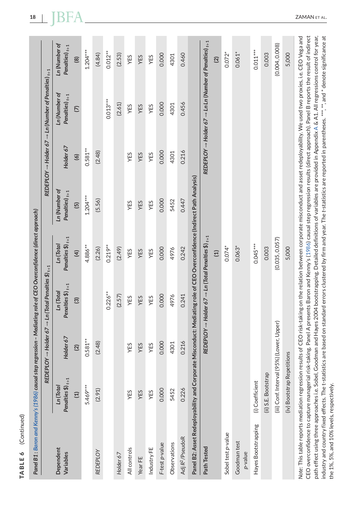| Ĺ  |
|----|
|    |
|    |
|    |
|    |
|    |
|    |
|    |
|    |
|    |
|    |
|    |
|    |
|    |
|    |
|    |
|    |
|    |
|    |
|    |
|    |
|    |
|    |
|    |
|    |
|    |
|    |
| чc |
|    |
|    |
| ı. |
|    |
|    |
|    |
|    |
|    |
|    |
|    |
|    |
|    |
|    |
|    |
|    |
| r. |
|    |

 $\widehat{B}$ 

| Panel B1 : Baron and Kenny's (1986) causal step regression – Mediating role of CEO Overconfidence (direct approach) |                                           |                |                                                                                     |                                             |                                                                              |                |                                                                                     |                                      |
|---------------------------------------------------------------------------------------------------------------------|-------------------------------------------|----------------|-------------------------------------------------------------------------------------|---------------------------------------------|------------------------------------------------------------------------------|----------------|-------------------------------------------------------------------------------------|--------------------------------------|
|                                                                                                                     |                                           |                | REDEPLOY $\rightarrow$ Holder 67 $\rightarrow$ Ln (Total Penalties \$) $_{\rm t+1}$ |                                             |                                                                              |                | REDEPLOY $\rightarrow$ Holder 67 $\rightarrow$ Ln (Number of Penalties) $_{t+1}$    |                                      |
| Dependent<br>Variables                                                                                              | Penalties $$)_{t+1}$<br>Ln (Total)        | Holder 67      | Penalties $$)_{t+1}$<br>Ln (Total                                                   | Penalties $\mathfrak{H}_{t+1}$<br>Ln (Total | Ln (Number of<br>Penalties) $t+1$                                            | Holder 67      | Ln (Number of<br>Penalties) $_{t+1}$                                                | Ln (Number of<br>Penalties) $_{t+1}$ |
|                                                                                                                     | $\Xi$                                     | $\overline{2}$ | $\overline{3}$                                                                      | $\overline{4}$                              | $\overline{5}$                                                               | $\overline{6}$ | $\overline{C}$                                                                      | $\circledR$                          |
|                                                                                                                     | 5.469***                                  | $0.581***$     |                                                                                     | 4.886**                                     | $1.204***$                                                                   | $0.581***$     |                                                                                     | $1.204***$                           |
| <b>REDEPLOY</b>                                                                                                     | (2.91)                                    | (2.48)         |                                                                                     | (2.26)                                      | (5.56)                                                                       | (2.48)         |                                                                                     | (4.84)                               |
|                                                                                                                     |                                           |                | $0.226***$                                                                          | $0.219***$                                  |                                                                              |                | $0.013***$                                                                          | $0.012***$                           |
| Holder 67                                                                                                           |                                           |                | (2.57)                                                                              | (2.49)                                      |                                                                              |                | (2.61)                                                                              | (2.53)                               |
| All controls                                                                                                        | YES                                       | YES            | YES                                                                                 | YES                                         | YES                                                                          | YES            | YES                                                                                 | YES                                  |
| Year FE                                                                                                             | YES                                       | YES            | YES                                                                                 | YES                                         | YES                                                                          | YES            | YES                                                                                 | YES                                  |
| Industry FE                                                                                                         | YES                                       | YES            | YES                                                                                 | YES                                         | YES                                                                          | YES            | YES                                                                                 | YES                                  |
| F-test p-value                                                                                                      | 0.000                                     | 0.000          | 0.000                                                                               | 0.000                                       | 0.000                                                                        | 0.000          | 0.000                                                                               | 0.000                                |
| Observations                                                                                                        | 5452                                      | 4301           | 4976                                                                                | 4976                                        | 5452                                                                         | 4301           | 4301                                                                                | 4301                                 |
| Adj R <sup>2</sup> /PseudoR                                                                                         | 0.226                                     | 0.216          | 0.241                                                                               | 0.242                                       | 0.447                                                                        | 0.216          | 0.456                                                                               | 0.460                                |
| Panel B2: Asset Redeployability and Corpora                                                                         |                                           |                |                                                                                     |                                             | te Misconduct: Mediating role of CEO Overconfidence (Indirect Path Analysis) |                |                                                                                     |                                      |
| Path Tested                                                                                                         |                                           |                | REDEPLOY $\rightarrow$ Holder 67 $\rightarrow$ Ln (Total Penalties $\$)_{t+1}$      |                                             |                                                                              |                | REDEPLOY $\rightarrow$ Holder 67 $\rightarrow$ Ln Ln (Number of Penalties) $_{t+1}$ |                                      |
|                                                                                                                     |                                           |                |                                                                                     | $\Xi$                                       |                                                                              |                |                                                                                     | $\overline{2}$                       |
| Sobel test p-value                                                                                                  |                                           |                |                                                                                     | $0.074*$                                    |                                                                              |                |                                                                                     | $0.072*$                             |
| Goodman test<br>p-value                                                                                             |                                           |                |                                                                                     | $0.063*$                                    |                                                                              |                |                                                                                     | $0.061*$                             |
| Hayes Bootstrapping                                                                                                 | (i) Coefficient                           |                |                                                                                     | $0.045***$                                  |                                                                              |                |                                                                                     | $0.011***$                           |
|                                                                                                                     | (ii) S.E. Bootstrap                       |                |                                                                                     | 0.003                                       |                                                                              |                |                                                                                     | 0.003                                |
|                                                                                                                     | (iii) Conf. Interval (95%) (Lower, Upper) |                |                                                                                     | (0.035, 0.057)                              |                                                                              |                |                                                                                     | (0.004, 0.008)                       |

 $\ddot{\cdot}$  $\ddot{\cdot}$  $1 - 4770$  $\mathbf{r}$  and  $\mathbf{r}$  and  $\mathbf{r}$  and  $\mathbf{r}$  and  $\mathbf{r}$ In4

 $\ddot{\phantom{0}}$ 

Note: This table reports mediation regression results of CEO risk-taking on the relation between corporate misconduct and asset redeployability. We used two proxies, i.e. CEO Vega and CEO overconfidence to capture managerial risk-taking. Panel A presents Baron and Kenny's (1986) causal step regression results (direct approach). Panel B reports the result of indirect industry and country fixed effects. The t-statistics are based on standard errors clustered by firm and year. The t-statistics are reported in parentheses. \*\*\*, \*\* and \* denote significance at oath effect using three approaches i.e. Sobel, Goodman and Hayes 2004 bootstrapping. Detailed definitions of variables are provided in Appendix A & A1. All regressions control for year, *Note*: This table reports mediation regression results of CEO risk-taking on the relation between corporate misconduct and asset redeployability. We used two proxies, i.e. CEO Vega and CEO overconfidence to capture managerial risk-taking. Panel A presents Baron and Kenny's [\(1986\)](#page-24-0) causal step regression results (direct approach). Panel B reports the result of indirect path effect using three approaches i.e. Sobel, Goodman and Hayes 2004 bootstrapping. Detailed definitions of variables are provided in Appendix [A](#page-27-0) & A1. All regressions control for year, industry and country fixed effects. The t-statistics are based on standard errors clustered by firm and year. The *t*-statistics are reported in parentheses. \*\*\*, \*\*, and \* denote significance at the 1%, 5%, and 10% levels, respectively. the 1%, 5%, and 10% levels, respectively.

(iv) Bootstrap Repetitions 5,000 5,000

5,000

(iv) Bootstrap Repetitions

5,000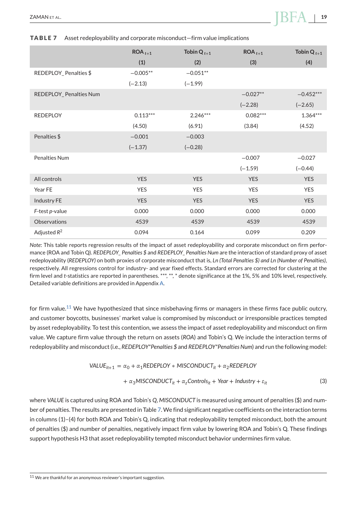# $Z$ AMAN ET AL. **19**

#### **TABLE 7** Asset redeployability and corporate misconduct—firm value implications

|                        | $ROA_{t+1}$ | Tobin $Q_{t+1}$ | $ROA_{t+1}$ | Tobin $Q_{t+1}$ |
|------------------------|-------------|-----------------|-------------|-----------------|
|                        | (1)         | (2)             | (3)         | (4)             |
| REDEPLOY_Penalties \$  | $-0.005**$  | $-0.051**$      |             |                 |
|                        | $(-2.13)$   | $(-1.99)$       |             |                 |
| REDEPLOY_Penalties Num |             |                 | $-0.027**$  | $-0.452***$     |
|                        |             |                 | $(-2.28)$   | $(-2.65)$       |
| <b>REDEPLOY</b>        | $0.113***$  | $2.246***$      | $0.082***$  | $1.364***$      |
|                        | (4.50)      | (6.91)          | (3.84)      | (4.52)          |
| Penalties \$           | $-0.001$    | $-0.003$        |             |                 |
|                        | $(-1.37)$   | $(-0.28)$       |             |                 |
| Penalties Num          |             |                 | $-0.007$    | $-0.027$        |
|                        |             |                 | $(-1.59)$   | $(-0.44)$       |
| All controls           | <b>YES</b>  | <b>YES</b>      | <b>YES</b>  | <b>YES</b>      |
| Year FE                | <b>YES</b>  | <b>YES</b>      | <b>YES</b>  | <b>YES</b>      |
| Industry FE            | <b>YES</b>  | <b>YES</b>      | <b>YES</b>  | <b>YES</b>      |
| F-test p-value         | 0.000       | 0.000           | 0.000       | 0.000           |
| Observations           | 4539        | 4539            | 4539        | 4539            |
| Adjusted $R^2$         | 0.094       | 0.164           | 0.099       | 0.209           |

*Note*: This table reports regression results of the impact of asset redeployability and corporate misconduct on firm performance (ROA and Tobin Q). *REDEPLOY\_ Penalties \$* and *REDEPLOY\_ Penalties Num* are the interaction of standard proxy of asset redeployability (*REDEPLOY)* on both proxies of corporate misconduct that is, *Ln (Total Penalties \$) and Ln (Number of Penalties)*, respectively. All regressions control for industry- and year fixed effects. Standard errors are corrected for clustering at the firm level and *t*-statistics are reported in parentheses. \*\*\*, \*\*, \* denote significance at the 1%, 5% and 10% level, respectively. Detailed variable definitions are provided in Appendix [A.](#page-27-0)

for firm value.<sup>11</sup> We have hypothesized that since misbehaving firms or managers in these firms face public outcry, and customer boycotts, businesses' market value is compromised by misconduct or irresponsible practices tempted by asset redeployability. To test this contention, we assess the impact of asset redeployability and misconduct on firm value. We capture firm value through the return on assets (*ROA*) and Tobin's Q. We include the interaction terms of redeployability and misconduct (i.e., *REDEPLOY\*Penalties \$* and *REDEPLOY\*Penalties Num*) and run the following model:

$$
VALUE_{it+1} = \alpha_0 + \alpha_1 REDEPLOY * MISCONDUCT_{it} + \alpha_2 REDEPLOY
$$

$$
+ \alpha_3 MISCONDUCT_{it} + \alpha_2Contents_{it} + Year + Industry + \varepsilon_{it}
$$
 (3)

where *VALUE* is captured using ROA and Tobin's *Q*, *MISCONDUCT* is measured using amount of penalties (\$) and number of penalties. The results are presented in Table 7. We find significant negative coefficients on the interaction terms in columns (1)–(4) for both ROA and Tobin's Q, indicating that redeployability tempted misconduct, both the amount of penalties (\$) and number of penalties, negatively impact firm value by lowering ROA and Tobin's Q. These findings support hypothesis H3 that asset redeployability tempted misconduct behavior undermines firm value.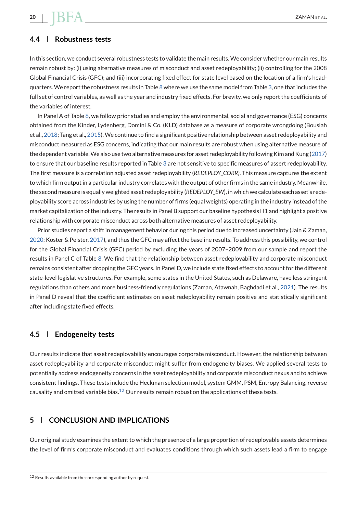# **4.4 Robustness tests**

In this section, we conduct several robustness tests to validate the main results. We consider whether our main results remain robust by: (i) using alternative measures of misconduct and asset redeployability; (ii) controlling for the 2008 Global Financial Crisis (GFC); and (iii) incorporating fixed effect for state level based on the location of a firm's headquarters. We report the robustness results in Table [8](#page-21-0) where we use the same model from Table [3,](#page-12-0) one that includes the full set of control variables, as well as the year and industry fixed effects. For brevity, we only report the coefficients of the variables of interest.

In Panel A of Table [8,](#page-21-0) we follow prior studies and employ the environmental, social and governance (ESG) concerns obtained from the Kinder, Lydenberg, Domini & Co. (KLD) database as a measure of corporate wrongdoing (Bouslah et al., [2018;](#page-24-0) Tang et al., [2015\)](#page-26-0).We continue to find a significant positive relationship between asset redeployability and misconduct measured as ESG concerns, indicating that our main results are robust when using alternative measure of the dependent variable.We also use two alternative measures for asset redeployability following Kim and Kung [\(2017\)](#page-25-0) to ensure that our baseline results reported in Table [3](#page-12-0) are not sensitive to specific measures of assert redeployability. The first measure is a correlation adjusted asset redeployability (*REDEPLOY\_CORR)*. This measure captures the extent to which firm output in a particular industry correlates with the output of other firms in the same industry. Meanwhile, the second measure is equally weighted asset redeployability (*REDEPLOY\_EW*), in which we calculate each asset's redeployability score across industries by using the number of firms (equal weights) operating in the industry instead of the market capitalization of the industry. The results in Panel B support our baseline hypothesis H1 and highlight a positive relationship with corporate misconduct across both alternative measures of asset redeployability.

Prior studies report a shift in management behavior during this period due to increased uncertainty (Jain & Zaman, [2020;](#page-25-0) Köster & Pelster, [2017\)](#page-25-0), and thus the GFC may affect the baseline results. To address this possibility, we control for the Global Financial Crisis (GFC) period by excluding the years of 2007–2009 from our sample and report the results in Panel C of Table [8.](#page-21-0) We find that the relationship between asset redeployability and corporate misconduct remains consistent after dropping the GFC years. In Panel D, we include state fixed effects to account for the different state-level legislative structures. For example, some states in the United States, such as Delaware, have less stringent regulations than others and more business-friendly regulations (Zaman, Atawnah, Baghdadi et al., [2021\)](#page-26-0). The results in Panel D reveal that the coefficient estimates on asset redeployability remain positive and statistically significant after including state fixed effects.

#### **4.5 Endogeneity tests**

Our results indicate that asset redeployability encourages corporate misconduct. However, the relationship between asset redeployability and corporate misconduct might suffer from endogeneity biases. We applied several tests to potentially address endogeneity concerns in the asset redeployability and corporate misconduct nexus and to achieve consistent findings. These tests include the Heckman selection model, system GMM, PSM, Entropy Balancing, reverse causality and omitted variable bias. $^{12}$  Our results remain robust on the applications of these tests.

# **5 CONCLUSION AND IMPLICATIONS**

Our original study examines the extent to which the presence of a large proportion of redeployable assets determines the level of firm's corporate misconduct and evaluates conditions through which such assets lead a firm to engage

<span id="page-20-0"></span>

<sup>12</sup> Results available from the corresponding author by request.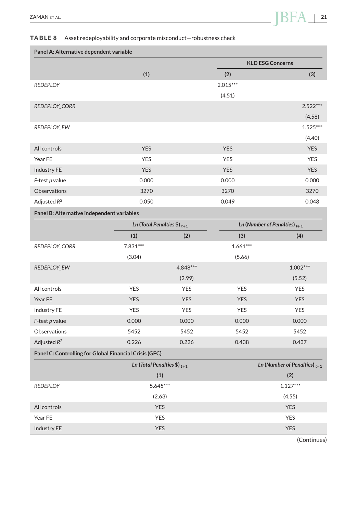### <span id="page-21-0"></span>**TABLE 8** Asset redeployability and corporate misconduct—robustness check

| Panel A: Alternative dependent variable |            |            |                         |  |  |
|-----------------------------------------|------------|------------|-------------------------|--|--|
|                                         |            |            | <b>KLD ESG Concerns</b> |  |  |
|                                         | (1)        | (2)        | (3)                     |  |  |
| <b>REDEPLOY</b>                         |            | $2.015***$ |                         |  |  |
|                                         |            | (4.51)     |                         |  |  |
| REDEPLOY_CORR                           |            |            | $2.522***$              |  |  |
|                                         |            |            | (4.58)                  |  |  |
| REDEPLOY_EW                             |            |            | $1.525***$              |  |  |
|                                         |            |            | (4.40)                  |  |  |
| All controls                            | <b>YES</b> | <b>YES</b> | <b>YES</b>              |  |  |
| Year FE                                 | <b>YES</b> | <b>YES</b> | <b>YES</b>              |  |  |
| Industry FE                             | <b>YES</b> | <b>YES</b> | <b>YES</b>              |  |  |
| $F$ -test p value                       | 0.000      | 0.000      | 0.000                   |  |  |
| Observations                            | 3270       | 3270       | 3270                    |  |  |
| Adjusted $R^2$                          | 0.050      | 0.049      | 0.048                   |  |  |
|                                         |            |            |                         |  |  |

**Panel B: Alternative independent variables**

|                                                        |                                  | Ln (Total Penalties \$) $_{t+1}$ |            | Ln (Number of Penalties) $t+1$    |
|--------------------------------------------------------|----------------------------------|----------------------------------|------------|-----------------------------------|
|                                                        | (1)                              | (2)                              | (3)        | (4)                               |
| REDEPLOY_CORR                                          | $7.831***$                       |                                  | $1.661***$ |                                   |
|                                                        | (3.04)                           |                                  | (5.66)     |                                   |
| REDEPLOY_EW                                            |                                  | 4.848***                         |            | $1.002***$                        |
|                                                        |                                  | (2.99)                           |            | (5.52)                            |
| All controls                                           | <b>YES</b>                       | <b>YES</b>                       | <b>YES</b> | <b>YES</b>                        |
| Year FE                                                | <b>YES</b>                       | <b>YES</b>                       | <b>YES</b> | <b>YES</b>                        |
| Industry FE                                            | <b>YES</b>                       | <b>YES</b>                       | <b>YES</b> | <b>YES</b>                        |
| $F$ -test p value                                      | 0.000                            | 0.000                            | 0.000      | 0.000                             |
| Observations                                           | 5452                             | 5452                             | 5452       | 5452                              |
| Adjusted $R^2$                                         | 0.226                            | 0.226                            | 0.438      | 0.437                             |
| Panel C: Controlling for Global Financial Crisis (GFC) |                                  |                                  |            |                                   |
|                                                        | Ln (Total Penalties \$) $_{t+1}$ |                                  |            | Ln (Number of Penalties) $_{t+1}$ |

|                 | (1)        | (2)        |
|-----------------|------------|------------|
| <b>REDEPLOY</b> | $5.645***$ | $1.127***$ |
|                 | (2.63)     | (4.55)     |
| All controls    | <b>YES</b> | <b>YES</b> |
| Year FE         | <b>YES</b> | <b>YES</b> |
| Industry FE     | <b>YES</b> | <b>YES</b> |

(Continues)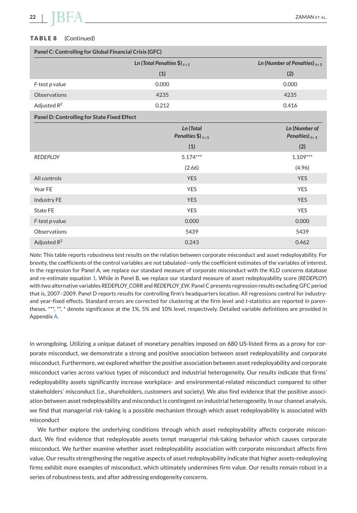# **TABLE 8** (Continued)

| Panel C: Controlling for Global Financial Crisis (GFC) |                                          |                                      |  |  |
|--------------------------------------------------------|------------------------------------------|--------------------------------------|--|--|
|                                                        | Ln (Total Penalties \$) $_{t+1}$         | Ln (Number of Penalties) $t+1$       |  |  |
|                                                        | (1)                                      | (2)                                  |  |  |
| $F$ -test p value                                      | 0.000                                    | 0.000                                |  |  |
| Observations                                           | 4235                                     | 4235                                 |  |  |
| Adjusted $R^2$                                         | 0.212                                    | 0.416                                |  |  |
| Panel D: Controlling for State Fixed Effect            |                                          |                                      |  |  |
|                                                        | Ln (Total<br>Penalties $\$\right)_{t+1}$ | Ln (Number of<br>Penalties) $_{t+1}$ |  |  |
|                                                        | (1)                                      | (2)                                  |  |  |
| <b>REDEPLOY</b>                                        | $5.174***$                               | $1.109***$                           |  |  |
|                                                        | (2.66)                                   | (4.96)                               |  |  |
| All controls                                           | <b>YES</b>                               | <b>YES</b>                           |  |  |
| Year FE                                                | <b>YES</b>                               | <b>YES</b>                           |  |  |
| Industry FE                                            | <b>YES</b>                               | <b>YES</b>                           |  |  |
| <b>State FE</b>                                        | <b>YES</b>                               | <b>YES</b>                           |  |  |
| $F$ -test p value                                      | 0.000                                    | 0.000                                |  |  |
| Observations                                           | 5439                                     | 5439                                 |  |  |
| Adjusted $R^2$                                         | 0.243                                    | 0.462                                |  |  |

*Note*: This table reports robustness test results on the relation between corporate misconduct and asset redeployability. For brevity, the coefficients of the control variables are not tabulated—only the coefficient estimates of the variables of interest. In the regression for Panel A, we replace our standard measure of corporate misconduct with the KLD concerns database and re-estimate equation [1.](#page-10-0) While in Panel B, we replace our standard measure of asset redeployability score (*REDEPLOY*) with two alternative variables *REDEPLOY\_CORR* and *REDEPLOY\_EW*. Panel C presents regression results excluding GFC period that is, 2007–2009. Panel D reports results for controlling firm's headquarters location. All regressions control for industryand year-fixed effects. Standard errors are corrected for clustering at the firm level and *t*-statistics are reported in parentheses. \*\*\*, \*\*, \* denote significance at the 1%, 5% and 10% level, respectively. Detailed variable definitions are provided in Appendix [A.](#page-27-0)

in wrongdoing. Utilizing a unique dataset of monetary penalties imposed on 680 US-listed firms as a proxy for corporate misconduct, we demonstrate a strong and positive association between asset redeployability and corporate misconduct. Furthermore, we explored whether the positive association between asset redeployability and corporate misconduct varies across various types of misconduct and industrial heterogeneity. Our results indicate that firms' redeployability assets significantly increase workplace- and environmental-related misconduct compared to other stakeholders' misconduct (i.e., shareholders, customers and society). We also find evidence that the positive association between asset redeployability and misconduct is contingent on industrial heterogeneity. In our channel analysis, we find that managerial risk-taking is a possible mechanism through which asset redeployability is associated with misconduct

We further explore the underlying conditions through which asset redeployability affects corporate misconduct. We find evidence that redeployable assets tempt managerial risk-taking behavior which causes corporate misconduct. We further examine whether asset redeployability association with corporate misconduct affects firm value. Our results strengthening the negative aspects of asset redeployability indicate that higher assets-redeploying firms exhibit more examples of misconduct, which ultimately undermines firm value. Our results remain robust in a series of robustness tests, and after addressing endogeneity concerns.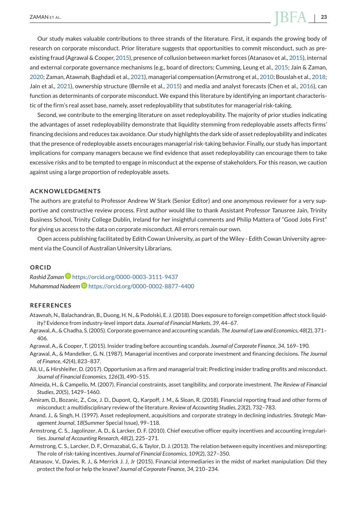# <span id="page-23-0"></span> $Z$ AMAN ET AL. **23**  $\rightarrow$  23

Our study makes valuable contributions to three strands of the literature. First, it expands the growing body of research on corporate misconduct. Prior literature suggests that opportunities to commit misconduct, such as preexisting fraud (Agrawal & Cooper, 2015), presence of collusion between market forces (Atanasov et al., 2015), internal and external corporate governance mechanisms (e.g., board of directors; Cumming, Leung et al., [2015;](#page-24-0) Jain & Zaman, [2020;](#page-25-0) Zaman, Atawnah, Baghdadi et al., [2021\)](#page-26-0), managerial compensation (Armstrong et al., 2010; Bouslah et al., [2018;](#page-24-0) Jain et al., [2021\)](#page-25-0), ownership structure (Bernile et al., [2015\)](#page-24-0) and media and analyst forecasts (Chen et al., [2016\)](#page-24-0), can function as determinants of corporate misconduct. We expand this literature by identifying an important characteristic of the firm's real asset base, namely, asset redeployability that substitutes for managerial risk-taking.

Second, we contribute to the emerging literature on asset redeployability. The majority of prior studies indicating the advantages of asset redeployability demonstrate that liquidity stemming from redeployable assets affects firms' financing decisions and reduces tax avoidance. Our study highlights the dark side of asset redeployability and indicates that the presence of redeployable assets encourages managerial risk-taking behavior. Finally, our study has important implications for company managers because we find evidence that asset redeployability can encourage them to take excessive risks and to be tempted to engage in misconduct at the expense of stakeholders. For this reason, we caution against using a large proportion of redeployable assets.

#### **ACKNOWLEDGMENTS**

The authors are grateful to Professor Andrew W Stark (Senior Editor) and one anonymous reviewer for a very supportive and constructive review process. First author would like to thank Assistant Professor Tanusree Jain, Trinity Business School, Trinity College Dublin, Ireland for her insightful comments and Philip Mattera of "Good Jobs First" for giving us access to the data on corporate misconduct. All errors remain our own.

Open access publishing facilitated by Edith Cowan University, as part of the Wiley - Edith Cowan University agreement via the Council of Australian University Librarians.

#### **ORCID**

*Rashid Zaman* <https://orcid.org/0000-0003-3111-9437> *Muhammad Nadeem* <https://orcid.org/0000-0002-8877-4400>

#### **REFERENCES**

- Atawnah, N., Balachandran, B., Duong, H. N., & Podolski, E. J. (2018). Does exposure to foreign competition affect stock liquidity? Evidence from industry-level import data. *Journal of Financial Markets*, *39*, 44–67.
- Agrawal, A., & Chadha, S. (2005). Corporate governance and accounting scandals. *The Journal of Law and Economics*, *48*(2), 371– 406.
- Agrawal, A., & Cooper, T. (2015). Insider trading before accounting scandals. *Journal of Corporate Finance*, *34*, 169–190.
- Agrawal, A., & Mandelker, G. N. (1987). Managerial incentives and corporate investment and financing decisions. *The Journal of Finance*, *42*(4), 823–837.
- Ali, U., & Hirshleifer, D. (2017). Opportunism as a firm and managerial trait: Predicting insider trading profits and misconduct. *Journal of Financial Economics*, *126*(3), 490–515.
- Almeida, H., & Campello, M. (2007). Financial constraints, asset tangibility, and corporate investment. *The Review of Financial Studies*, *20*(5), 1429–1460.
- Amiram, D., Bozanic, Z., Cox, J. D., Dupont, Q., Karpoff, J. M., & Sloan, R. (2018). Financial reporting fraud and other forms of misconduct: a multidisciplinary review of the literature. *Review of Accounting Studies*, *23*(2), 732–783.
- Anand, J., & Singh, H. (1997). Asset redeployment, acquisitions and corporate strategy in declining industries. *Strategic Management Journal*, *18*(Summer Special Issue), 99–118.
- Armstrong, C. S., Jagolinzer, A. D., & Larcker, D. F. (2010). Chief executive officer equity incentives and accounting irregularities. *Journal of Accounting Research*, *48*(2), 225–271.
- Armstrong, C. S., Larcker, D. F., Ormazabal, G., & Taylor, D. J. (2013). The relation between equity incentives and misreporting: The role of risk-taking incentives. *Journal of Financial Economics*, *109*(2), 327–350.
- Atanasov, V., Davies, R. J., & Merrick J. J, Jr (2015). Financial intermediaries in the midst of market manipulation: Did they protect the fool or help the knave? *Journal of Corporate Finance*, *34*, 210–234.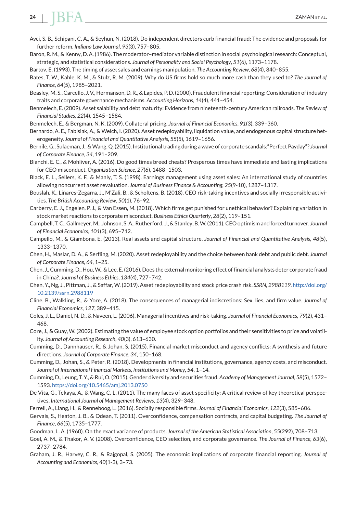# <span id="page-24-0"></span>**24 I I I I I** *CAMAN ET AL.*

- Avci, S. B., Schipani, C. A., & Seyhun, N. (2018). Do independent directors curb financial fraud: The evidence and proposals for further reform. *Indiana Law Journal*, *93*(3), 757–805.
- Baron, R. M., & Kenny, D. A. (1986). The moderator–mediator variable distinction in social psychological research: Conceptual, strategic, and statistical considerations. *Journal of Personality and Social Psychology*, *51*(6), 1173–1178.

Bartov, E. (1993). The timing of asset sales and earnings manipulation. *The Accounting Review*, *68*(4), 840–855.

Bates, T. W., Kahle, K. M., & Stulz, R. M. (2009). Why do US firms hold so much more cash than they used to? *The Journal of Finance*, *64*(5), 1985–2021.

Beasley,M. S., Carcello, J. V., Hermanson, D. R., & Lapides, P. D. (2000). Fraudulent financial reporting: Consideration of industry traits and corporate governance mechanisms. *Accounting Horizons*, *14*(4), 441–454.

Benmelech, E. (2009). Asset salability and debt maturity: Evidence from nineteenth-century American railroads. *The Review of Financial Studies*, *22*(4), 1545–1584.

Benmelech, E., & Bergman, N. K. (2009). Collateral pricing. *Journal of Financial Economics*, *91*(3), 339–360.

- Bernardo, A. E., Fabisiak, A., & Welch, I. (2020). Asset redeployability, liquidation value, and endogenous capital structure heterogeneity. *Journal of Financial and Quantitative Analysis*, *55*(5), 1619–1656.
- Bernile, G., Sulaeman, J., &Wang, Q. (2015). Institutional trading during a wave of corporate scandals:"Perfect Payday"? *Journal of Corporate Finance*, *34*, 191–209.
- Bianchi, E. C., & Mohliver, A. (2016). Do good times breed cheats? Prosperous times have immediate and lasting implications for CEO misconduct. *Organization Science*, *27*(6), 1488–1503.
- Black, E. L., Sellers, K. F., & Manly, T. S. (1998). Earnings management using asset sales: An international study of countries allowing noncurrent asset revaluation. *Journal of Business Finance & Accounting*, *25*(9-10), 1287–1317.
- Bouslah, K., Liñares-Zegarra, J., M'Zali, B., & Scholtens, B. (2018). CEO risk-taking incentives and socially irresponsible activities. *The British Accounting Review*, *50*(1), 76–92.
- Carberry, E. J., Engelen, P. J., & Van Essen, M. (2018). Which firms get punished for unethical behavior? Explaining variation in stock market reactions to corporate misconduct. *Business Ethics Quarterly*, *28*(2), 119–151.
- Campbell, T. C., Gallmeyer,M., Johnson, S. A., Rutherford, J., & Stanley, B.W. (2011). CEO optimism and forced turnover. *Journal of Financial Economics*, *101*(3), 695–712.

Campello, M., & Giambona, E. (2013). Real assets and capital structure. *Journal of Financial and Quantitative Analysis*, *48*(5), 1333–1370.

Chen, H., Maslar, D. A., & Serfling, M. (2020). Asset redeployability and the choice between bank debt and public debt. *Journal of Corporate Finance*, *64*, 1–25.

- Chen, J., Cumming, D., Hou,W., & Lee, E. (2016). Does the external monitoring effect of financial analysts deter corporate fraud in China?. *Journal of Business Ethics*, *134*(4), 727–742.
- Chen, Y., Ng, J., Pittman, J., & Saffar, W. (2019). Asset redeployability and stock price crash risk. *SSRN*, *2988119*. [http://doi.org/](http://doi.org/10.2139/ssrn.2988119) [10.2139/ssrn.2988119](http://doi.org/10.2139/ssrn.2988119)
- Cline, B., Walkling, R., & Yore, A. (2018). The consequences of managerial indiscretions: Sex, lies, and firm value. *Journal of Financial Economics*, *127*, 389–415.
- Coles, J. L., Daniel, N. D., & Naveen, L. (2006). Managerial incentives and risk-taking. *Journal of Financial Economics*, *79*(2), 431– 468.
- Core, J., & Guay, W. (2002). Estimating the value of employee stock option portfolios and their sensitivities to price and volatility. *Journal of Accounting Research*, *40*(3), 613–630.
- Cumming, D., Dannhauser, R., & Johan, S. (2015). Financial market misconduct and agency conflicts: A synthesis and future directions. *Journal of Corporate Finance*, *34*, 150–168.
- Cumming, D., Johan, S., & Peter, R. (2018). Developments in financial institutions, governance, agency costs, and misconduct. *Journal of International Financial Markets, Institutions and Money*, *54*, 1–14.
- Cumming, D., Leung, T. Y., & Rui, O. (2015). Gender diversity and securities fraud. *Academy of Management Journal*, *58*(5), 1572– 1593. <https://doi.org/10.5465/amj.2013.0750>
- De Vita, G., Tekaya, A., & Wang, C. L. (2011). The many faces of asset specificity: A critical review of key theoretical perspectives. *International Journal of Management Reviews*, *13*(4), 329–348.

Ferrell, A., Liang, H., & Renneboog, L. (2016). Socially responsible firms. *Journal of Financial Economics*, *122*(3), 585–606.

- Gervais, S., Heaton, J. B., & Odean, T. (2011). Overconfidence, compensation contracts, and capital budgeting. *The Journal of Finance*, *66*(5), 1735–1777.
- Goodman, L. A. (1960). On the exact variance of products. *Journal of the American Statistical Association*, *55*(292), 708–713.
- Goel, A. M., & Thakor, A. V. (2008). Overconfidence, CEO selection, and corporate governance. *The Journal of Finance*, *63*(6), 2737–2784.
- Graham, J. R., Harvey, C. R., & Rajgopal, S. (2005). The economic implications of corporate financial reporting. *Journal of Accounting and Economics*, *40*(1-3), 3–73.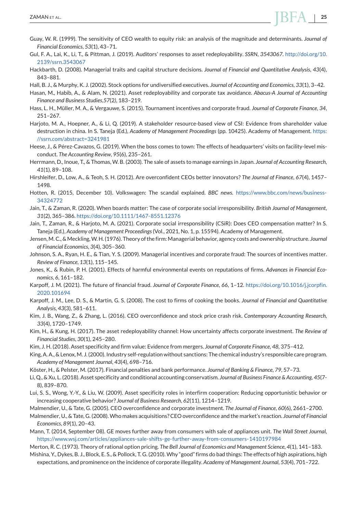- <span id="page-25-0"></span>Guay, W. R. (1999). The sensitivity of CEO wealth to equity risk: an analysis of the magnitude and determinants. *Journal of Financial Economics*, *53*(1), 43–71.
- Gul, F. A., Lai, K., Li, T., & Pittman, J. (2019). Auditors' responses to asset redeployability. *SSRN*, *3543067*. [http://doi.org/10.](http://doi.org/10.2139/ssrn.3543067) [2139/ssrn.3543067](http://doi.org/10.2139/ssrn.3543067)
- Hackbarth, D. (2008). Managerial traits and capital structure decisions. *Journal of Financial and Quantitative Analysis*, *43*(4), 843–881.
- Hall, B. J., & Murphy, K. J. (2002). Stock options for undiversified executives. *Journal of Accounting and Economics*, *33*(1), 3–42.
- Hasan, M., Habib, A., & Alam, N. (2021). Asset redeployability and corporate tax avoidance. *Abacus-A Journal of Accounting Finance and Business Studies*,*57*(2*)*, 183–219.
- Hass, L. H., Müller, M. A., & Vergauwe, S. (2015). Tournament incentives and corporate fraud. *Journal of Corporate Finance*, *34*, 251–267.
- Harjoto, M. A., Hoepner, A., & Li, Q. (2019). A stakeholder resource-based view of CSI: Evidence from shareholder value destruction in china. In S. Taneja (Ed.), *Academy of Management Proceedings* (pp. 10425). Academy of Management. [https:](https://ssrn.com/abstract=3241981) [//ssrn.com/abstract=3241981](https://ssrn.com/abstract=3241981)
- Heese, J., & Pérez-Cavazos, G. (2019). When the boss comes to town: The effects of headquarters' visits on facility-level misconduct. *The Accounting Review*, *95*(6), 235–261.
- Herrmann, D., Inoue, T., & Thomas, W. B. (2003). The sale of assets to manage earnings in Japan. *Journal of Accounting Research*, *41*(1), 89–108.
- Hirshleifer, D., Low, A., & Teoh, S. H. (2012). Are overconfident CEOs better innovators? *The Journal of Finance*, *67*(4), 1457– 1498.
- Hotten, R. (2015, December 10). Volkswagen: The scandal explained. *BBC news.* [https://www.bbc.com/news/business-](https://www.bbc.com/news/business-34324772)[34324772](https://www.bbc.com/news/business-34324772)
- Jain, T., & Zaman, R. (2020). When boards matter: The case of corporate social irresponsibility. *British Journal of Management*, *31*(2), 365–386. <https://doi.org/10.1111/1467-8551.12376>
- Jain, T., Zaman, R., & Harjoto, M. A. (2021). Corporate social irresponsibility (CSiR): Does CEO compensation matter? In S. Taneja (Ed.), *Academy of Management Proceedings*(Vol., 2021, No. 1, p. 15594). Academy of Management.
- Jensen,M. C., &Meckling,W. H. (1976). Theory of the firm:Managerial behavior, agency costs and ownership structure. *Journal of Financial Economics*, *3*(4), 305–360.
- Johnson, S. A., Ryan, H. E., & Tian, Y. S. (2009). Managerial incentives and corporate fraud: The sources of incentives matter. *Review of Finance*, *13*(1), 115–145.
- Jones, K., & Rubin, P. H. (2001). Effects of harmful environmental events on reputations of firms. *Advances in Financial Economics*, *6*, 161–182.
- Karpoff, J. M. (2021). The future of financial fraud. *Journal of Corporate Finance*, *66*, 1–12. [https://doi.org/10.1016/j.jcorpfin.](https://doi.org/10.1016/j.jcorpfin.2020.101694) [2020.101694](https://doi.org/10.1016/j.jcorpfin.2020.101694)
- Karpoff, J. M., Lee, D. S., & Martin, G. S. (2008). The cost to firms of cooking the books. *Journal of Financial and Quantitative Analysis*, *43*(3), 581–611.
- Kim, J. B., Wang, Z., & Zhang, L. (2016). CEO overconfidence and stock price crash risk. *Contemporary Accounting Research*, *33*(4), 1720–1749.
- Kim, H., & Kung, H. (2017). The asset redeployability channel: How uncertainty affects corporate investment. *The Review of Financial Studies*, *30*(1), 245–280.
- Kim, J. H. (2018). Asset specificity and firm value: Evidence from mergers. *Journal of Corporate Finance*, *48*, 375–412.
- King, A. A., & Lenox, M. J. (2000). Industry self-regulation without sanctions: The chemical industry's responsible care program. *Academy of Management Journal*, *43*(4), 698–716.
- Köster, H., & Pelster, M. (2017). Financial penalties and bank performance. *Journal of Banking & Finance*, *79*, 57–73.
- Li, Q., & Xu, L. (2018). Asset specificity and conditional accounting conservatism. *Journal of Business Finance & Accounting*, *45*(7- 8), 839–870.
- Lui, S. S., Wong, Y.-Y., & Liu, W. (2009). Asset specificity roles in interfirm cooperation: Reducing opportunistic behavior or increasing cooperative behavior? *Journal of Business Research*, *62*(11), 1214–1219.
- Malmendier, U., & Tate, G. (2005). CEO overconfidence and corporate investment. *The Journal of Finance*, *60*(6), 2661–2700.
- Malmendier, U., & Tate, G. (2008).Who makes acquisitions? CEO overconfidence and the market's reaction. *Journal of Financial Economics*, *89*(1), 20–43.
- Mann, T. (2014, September 08). GE moves further away from consumers with sale of appliances unit. *The Wall Street Journal*, <https://www.wsj.com/articles/appliances-sale-shifts-ge-further-away-from-consumers-1410197984>
- Merton, R. C. (1973). Theory of rational option pricing. *The Bell Journal of Economics and Management Science*, *4*(1), 141–183. Mishina, Y., Dykes, B. J., Block, E. S., & Pollock, T. G. (2010).Why "good" firms do bad things: The effects of high aspirations, high
- expectations, and prominence on the incidence of corporate illegality. *Academy of Management Journal*, *53*(4), 701–722.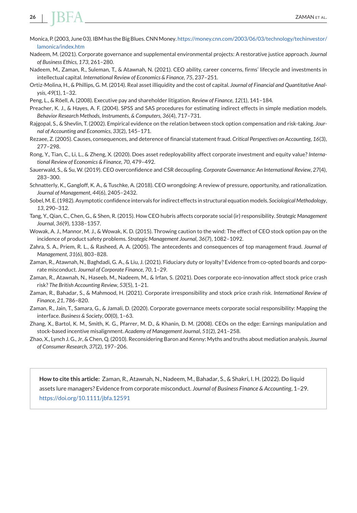<span id="page-26-0"></span>

- Monica, P. (2003, June 03). IBM has the Big Blues. CNN Money. [https://money.cnn.com/2003/06/03/technology/techinvestor/](https://money.cnn.com/2003/06/03/technology/techinvestor/lamonica/index.htm) [lamonica/index.htm](https://money.cnn.com/2003/06/03/technology/techinvestor/lamonica/index.htm)
- Nadeem, M. (2021). Corporate governance and supplemental environmental projects: A restorative justice approach. *Journal of Business Ethics*, *173*, 261–280.
- Nadeem, M., Zaman, R., Suleman, T., & Atawnah, N. (2021). CEO ability, career concerns, firms' lifecycle and investments in intellectual capital. *International Review of Economics & Finance*, *75*, 237–251.
- Ortiz-Molina, H., & Phillips, G. M. (2014). Real asset illiquidity and the cost of capital. *Journal of Financial and Quantitative Analysis*, *49*(1), 1–32.
- Peng, L., & Röell, A. (2008). Executive pay and shareholder litigation. *Review of Finance*, *12*(1), 141–184.
- Preacher, K. J., & Hayes, A. F. (2004). SPSS and SAS procedures for estimating indirect effects in simple mediation models. *Behavior Research Methods, Instruments, & Computers*, *36*(4), 717–731.
- Rajgopal, S., & Shevlin, T. (2002). Empirical evidence on the relation between stock option compensation and risk-taking. *Journal of Accounting and Economics*, *33*(2), 145–171.
- Rezaee, Z. (2005). Causes, consequences, and deterence of financial statement fraud. *Critical Perspectives on Accounting*, *16*(3), 277–298.
- Rong, Y., Tian, C., Li, L., & Zheng, X. (2020). Does asset redeployability affect corporate investment and equity value? *International Review of Economics & Finance*, *70*, 479–492.
- Sauerwald, S., & Su, W. (2019). CEO overconfidence and CSR decoupling. *Corporate Governance: An International Review*, *27*(4), 283–300.
- Schnatterly, K., Gangloff, K. A., & Tuschke, A. (2018). CEO wrongdoing: A review of pressure, opportunity, and rationalization. *Journal of Management*, *44*(6), 2405–2432.
- Sobel,M. E. (1982). Asymptotic confidence intervals for indirect effects in structural equation models. *Sociological Methodology*, *13*, 290–312.
- Tang, Y., Qian, C., Chen, G., & Shen, R. (2015). How CEO hubris affects corporate social (ir) responsibility. *Strategic Management Journal*, *36*(9), 1338–1357.
- Wowak, A. J., Mannor, M. J., & Wowak, K. D. (2015). Throwing caution to the wind: The effect of CEO stock option pay on the incidence of product safety problems. *Strategic Management Journal*, *36*(7), 1082–1092.
- Zahra, S. A., Priem, R. L., & Rasheed, A. A. (2005). The antecedents and consequences of top management fraud. *Journal of Management*, *31*(6), 803–828.
- Zaman, R., Atawnah, N., Baghdadi, G. A., & Liu, J. (2021). Fiduciary duty or loyalty? Evidence from co-opted boards and corporate misconduct. *Journal of Corporate Finance*, *70*, 1–29.
- Zaman, R., Atawnah, N., Haseeb, M., Nadeem, M., & Irfan, S. (2021). Does corporate eco-innovation affect stock price crash risk? *The British Accounting Review*, *53*(5), 1–21.
- Zaman, R., Bahadar, S., & Mahmood, H. (2021). Corporate irresponsibility and stock price crash risk. *International Review of Finance*, *21*, 786–820.
- Zaman, R., Jain, T., Samara, G., & Jamali, D. (2020). Corporate governance meets corporate social responsibility: Mapping the interface. *Business & Society*, *00*(0), 1–63.
- Zhang, X., Bartol, K. M., Smith, K. G., Pfarrer, M. D., & Khanin, D. M. (2008). CEOs on the edge: Earnings manipulation and stock-based incentive misalignment. *Academy of Management Journal*, *51*(2), 241–258.
- Zhao, X., Lynch J. G., Jr, & Chen, Q. (2010). Reconsidering Baron and Kenny: Myths and truths about mediation analysis. *Journal of Consumer Research*, *37*(2), 197–206.

**How to cite this article:** Zaman, R., Atawnah, N., Nadeem, M., Bahadar, S., & Shakri, I. H. (2022). Do liquid assets lure managers? Evidence from corporate misconduct. *Journal of Business Finance & Accounting*, 1–29. <https://doi.org/10.1111/jbfa.12591>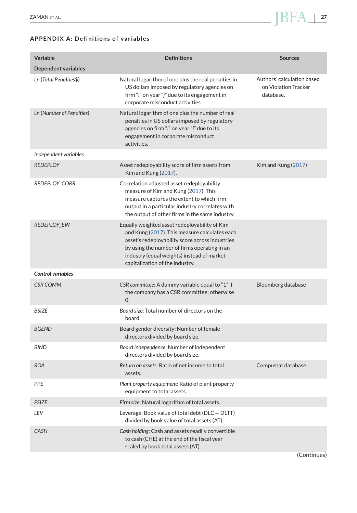# <span id="page-27-0"></span>**APPENDIX A: Definitions of variables**

| <b>Variable</b>          | <b>Definitions</b>                                                                                                                                                                                                                                                                 | <b>Sources</b>                                                  |
|--------------------------|------------------------------------------------------------------------------------------------------------------------------------------------------------------------------------------------------------------------------------------------------------------------------------|-----------------------------------------------------------------|
| Dependent variables      |                                                                                                                                                                                                                                                                                    |                                                                 |
| Ln (Total Penalties\$)   | Natural logarithm of one plus the real penalties in<br>US dollars imposed by regulatory agencies on<br>firm " <i>i</i> " on year " <i>j</i> " due to its engagement in<br>corporate misconduct activities.                                                                         | Authors' calculation based<br>on Violation Tracker<br>database. |
| Ln (Number of Penalties) | Natural logarithm of one plus the number of real<br>penalties in US dollars imposed by regulatory<br>agencies on firm "i" on year "j" due to its<br>engagement in corporate misconduct<br>activities.                                                                              |                                                                 |
| Independent variables    |                                                                                                                                                                                                                                                                                    |                                                                 |
| <b>REDEPLOY</b>          | Asset redeployability score of firm assets from<br>Kim and Kung (2017).                                                                                                                                                                                                            | Kim and Kung (2017)                                             |
| <b>REDEPLOY_CORR</b>     | Correlation adjusted asset redeployability<br>measure of Kim and Kung (2017). This<br>measure captures the extent to which firm<br>output in a particular industry correlates with<br>the output of other firms in the same industry.                                              |                                                                 |
| <b>REDEPLOY EW</b>       | Equally weighted asset redeployability of Kim<br>and Kung (2017). This measure calculates each<br>asset's redeployability score across industries<br>by using the number of firms operating in an<br>industry (equal weights) instead of market<br>capitalization of the industry. |                                                                 |
| <b>Control variables</b> |                                                                                                                                                                                                                                                                                    |                                                                 |
| <b>CSR COMM</b>          | CSR committee: A dummy variable equal to "1" if<br>the company has a CSR committee; otherwise<br>$\Omega$ .                                                                                                                                                                        | Bloomberg database                                              |
| <b>BSIZE</b>             | Board size: Total number of directors on the<br>board.                                                                                                                                                                                                                             |                                                                 |
| <b>BGEND</b>             | Board gender diversity: Number of female<br>directors divided by board size.                                                                                                                                                                                                       |                                                                 |
| <b>BIND</b>              | Board independence: Number of independent<br>directors divided by board size.                                                                                                                                                                                                      |                                                                 |
| <b>ROA</b>               | Return on assets: Ratio of net income to total<br>assets.                                                                                                                                                                                                                          | Compustat database                                              |
| PPE                      | Plant property equipment: Ratio of plant property<br>equipment to total assets.                                                                                                                                                                                                    |                                                                 |
| <b>FSIZE</b>             | Firm size: Natural logarithm of total assets.                                                                                                                                                                                                                                      |                                                                 |
| LEV                      | Leverage: Book value of total debt (DLC + DLTT)<br>divided by book value of total assets (AT).                                                                                                                                                                                     |                                                                 |
| <b>CASH</b>              | Cash holding: Cash and assets readily convertible<br>to cash (CHE) at the end of the fiscal year<br>scaled by book total assets (AT).                                                                                                                                              |                                                                 |

(Continues)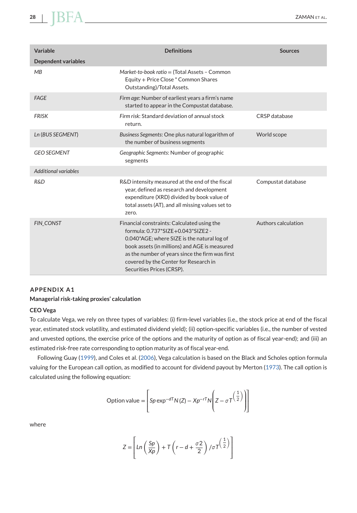| Variable                    | <b>Definitions</b>                                                                                                                                                                                                                                                                                        | <b>Sources</b>      |
|-----------------------------|-----------------------------------------------------------------------------------------------------------------------------------------------------------------------------------------------------------------------------------------------------------------------------------------------------------|---------------------|
| <b>Dependent variables</b>  |                                                                                                                                                                                                                                                                                                           |                     |
| MB                          | Market-to-book ratio = (Total Assets - Common<br>Equity + Price Close * Common Shares<br>Outstanding)/Total Assets.                                                                                                                                                                                       |                     |
| <b>FAGE</b>                 | Firm age: Number of earliest years a firm's name<br>started to appear in the Compustat database.                                                                                                                                                                                                          |                     |
| <b>FRISK</b>                | Firm risk: Standard deviation of annual stock<br>return.                                                                                                                                                                                                                                                  | CRSP database       |
| Ln (BUS SEGMENT)            | Business Segments: One plus natural logarithm of<br>the number of business segments                                                                                                                                                                                                                       | World scope         |
| <b>GEO SEGMENT</b>          | Geographic Segments: Number of geographic<br>segments                                                                                                                                                                                                                                                     |                     |
| <b>Additional variables</b> |                                                                                                                                                                                                                                                                                                           |                     |
| <b>R&amp;D</b>              | R&D intensity measured at the end of the fiscal<br>year, defined as research and development<br>expenditure (XRD) divided by book value of<br>total assets (AT), and all missing values set to<br>zero.                                                                                                   | Compustat database  |
| <b>FIN CONST</b>            | Financial constraints: Calculated using the<br>formula: 0.737*SIZE+0.043*SIZE2 -<br>0.040*AGE; where SIZE is the natural log of<br>book assets (in millions) and AGE is measured<br>as the number of years since the firm was first<br>covered by the Center for Research in<br>Securities Prices (CRSP). | Authors calculation |

#### **APPENDIX A1**

#### **Managerial risk-taking proxies' calculation**

#### **CEO Vega**

To calculate Vega, we rely on three types of variables: (i) firm-level variables (i.e., the stock price at end of the fiscal year, estimated stock volatility, and estimated dividend yield); (ii) option-specific variables (i.e., the number of vested and unvested options, the exercise price of the options and the maturity of option as of fiscal year-end); and (iii) an estimated risk-free rate corresponding to option maturity as of fiscal year-end.

Following Guay [\(1999\)](#page-25-0), and Coles et al. [\(2006\)](#page-24-0), Vega calculation is based on the Black and Scholes option formula valuing for the European call option, as modified to account for dividend payout by Merton [\(1973\)](#page-25-0). The call option is calculated using the following equation:

Option value = 
$$
\left[ Sp \exp^{-dT} N(Z) - Xp^{-rT} N\left(Z - \sigma T\left(\frac{1}{2}\right)\right) \right]
$$

where

$$
Z = \left[ \ln \left( \frac{Sp}{Xp} \right) + T \left( r - d + \frac{\sigma 2}{2} \right) / \sigma T \left( \frac{1}{2} \right) \right]
$$